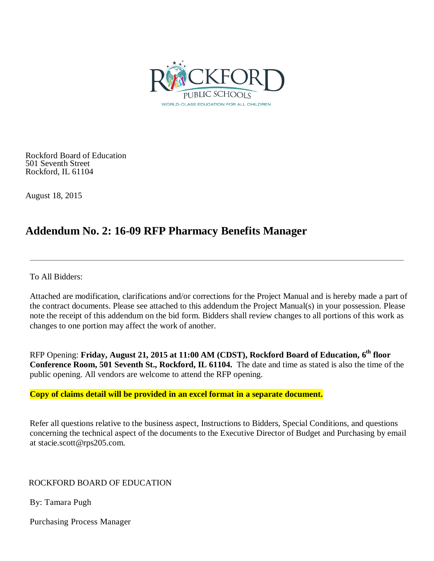

Rockford Board of Education 501 Seventh Street Rockford, IL 61104

August 18, 2015

### **Addendum No. 2: 16-09 RFP Pharmacy Benefits Manager**

To All Bidders:

Attached are modification, clarifications and/or corrections for the Project Manual and is hereby made a part of the contract documents. Please see attached to this addendum the Project Manual(s) in your possession. Please note the receipt of this addendum on the bid form. Bidders shall review changes to all portions of this work as changes to one portion may affect the work of another.

RFP Opening: **Friday, August 21, 2015 at 11:00 AM (CDST), Rockford Board of Education, 6th floor Conference Room, 501 Seventh St., Rockford, IL 61104.** The date and time as stated is also the time of the public opening. All vendors are welcome to attend the RFP opening.

### **Copy of claims detail will be provided in an excel format in a separate document.**

Refer all questions relative to the business aspect, Instructions to Bidders, Special Conditions, and questions concerning the technical aspect of the documents to the Executive Director of Budget and Purchasing by email at stacie.scott@rps205.com.

### ROCKFORD BOARD OF EDUCATION

By: Tamara Pugh

Purchasing Process Manager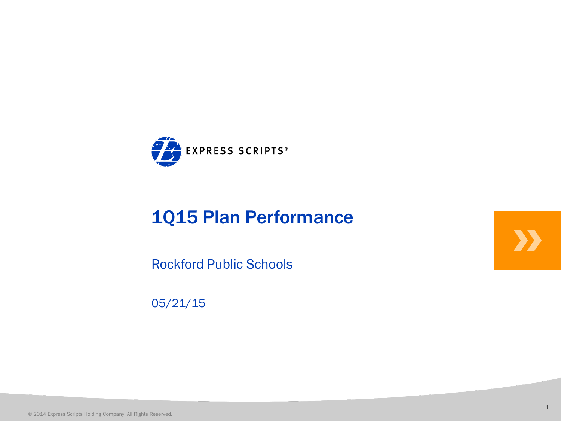

# **1Q15 Plan Performance**<br>
Rockford Public Schools<br>
05/21/15<br>
2014 Express Scripts Holding Company. All Rights Reserved.

Rockford Public Schools

05/21/15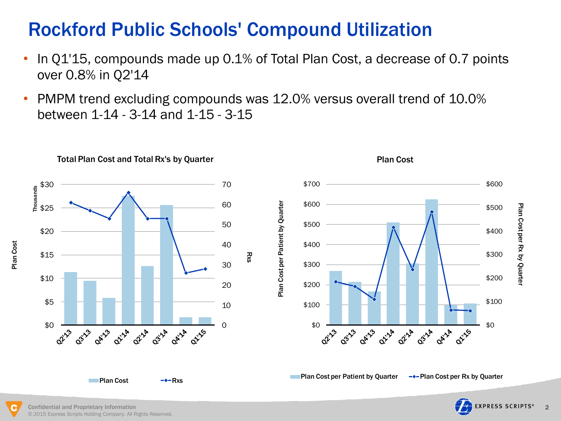## Rockford Public Schools' Compound Utilization

- In Q1'15, compounds made up 0.1% of Total Plan Cost, a decrease of 0.7 points over 0.8% in Q2'14
- PMPM trend excluding compounds was 12.0% versus overall trend of 10.0% between 1-14 - 3-14 and 1-15 - 3-15

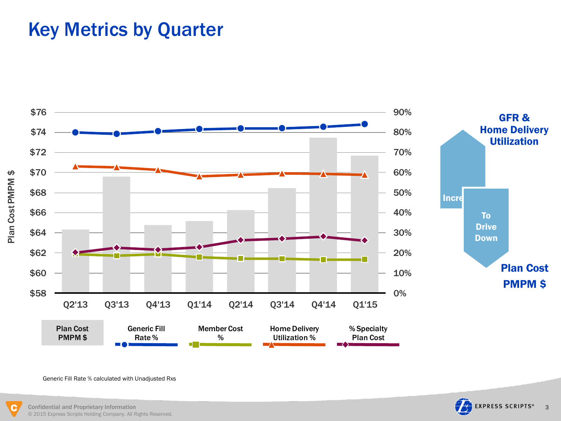# Key Metrics by Quarter





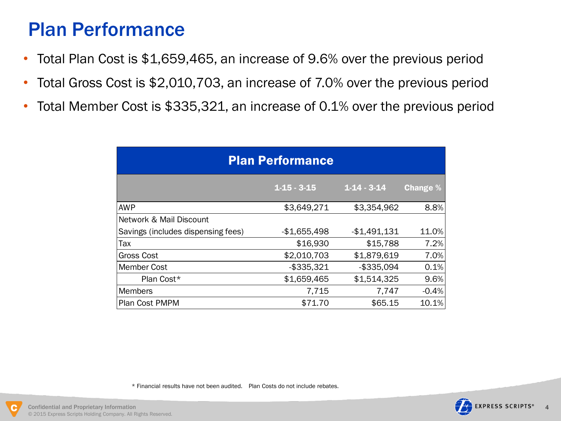## Plan Performance

- Total Plan Cost is \$1,659,465, an increase of 9.6% over the previous period
- Total Gross Cost is \$2,010,703, an increase of 7.0% over the previous period
- Total Member Cost is \$335,321, an increase of 0.1% over the previous period

| <b>Plan Performance</b>            |                   |                   |                 |  |  |  |  |  |  |  |  |  |
|------------------------------------|-------------------|-------------------|-----------------|--|--|--|--|--|--|--|--|--|
|                                    | $1 - 15 - 3 - 15$ | $1 - 14 - 3 - 14$ | <b>Change</b> % |  |  |  |  |  |  |  |  |  |
| <b>AWP</b>                         | \$3,649,271       | \$3,354,962       | 8.8%            |  |  |  |  |  |  |  |  |  |
| Network & Mail Discount            |                   |                   |                 |  |  |  |  |  |  |  |  |  |
| Savings (includes dispensing fees) | $-$1,655,498$     | $-$1,491,131$     | 11.0%           |  |  |  |  |  |  |  |  |  |
| Tax                                | \$16,930          | \$15,788          | 7.2%            |  |  |  |  |  |  |  |  |  |
| <b>Gross Cost</b>                  | \$2,010,703       | \$1,879,619       | 7.0%            |  |  |  |  |  |  |  |  |  |
| <b>Member Cost</b>                 | $-$ \$335,321     | $-$335.094$       | 0.1%            |  |  |  |  |  |  |  |  |  |
| Plan Cost*                         | \$1,659,465       | \$1,514,325       | 9.6%            |  |  |  |  |  |  |  |  |  |
| Members                            | 7,715             | 7,747             | $-0.4%$         |  |  |  |  |  |  |  |  |  |
| Plan Cost PMPM                     | \$71.70           | \$65.15           | 10.1%           |  |  |  |  |  |  |  |  |  |

\* Financial results have not been audited. Plan Costs do not include rebates.



l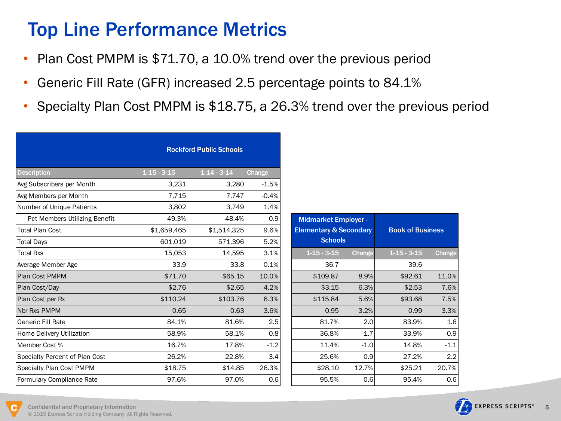# Top Line Performance Metrics

- Plan Cost PMPM is \$71.70, a 10.0% trend over the previous period
- Generic Fill Rate (GFR) increased 2.5 percentage points to 84.1%
- Specialty Plan Cost PMPM is \$18.75, a 26.3% trend over the previous period

|                                  |                   | <b>Rockford Public Schools</b> |         |                                   |               |                         |               |  |
|----------------------------------|-------------------|--------------------------------|---------|-----------------------------------|---------------|-------------------------|---------------|--|
| <b>Description</b>               | $1 - 15 - 3 - 15$ | $1 - 14 - 3 - 14$              | Change  |                                   |               |                         |               |  |
| Avg Subscribers per Month        | 3.231             | 3.280                          | $-1.5%$ |                                   |               |                         |               |  |
| Avg Members per Month            | 7,715             | 7,747                          | $-0.4%$ |                                   |               |                         |               |  |
| Number of Unique Patients        | 3.802             | 3.749                          | 1.4%    |                                   |               |                         |               |  |
| Pct Members Utilizing Benefit    | 49.3%             | 48.4%                          | 0.9     | <b>Midmarket Employer -</b>       |               |                         |               |  |
| <b>Total Plan Cost</b>           | \$1,659,465       | \$1,514,325                    | 9.6%    | <b>Elementary &amp; Secondary</b> |               | <b>Book of Business</b> |               |  |
| <b>Total Days</b>                | 601,019           | 571,396                        | 5.2%    | <b>Schools</b>                    |               |                         |               |  |
| <b>Total Rxs</b>                 | 15,053            | 14,595                         | 3.1%    | $1 - 15 - 3 - 15$                 | <b>Change</b> | $1 - 15 - 3 - 15$       | <b>Change</b> |  |
| Average Member Age               | 33.9              | 33.8                           | 0.1%    | 36.7                              |               | 39.6                    |               |  |
| Plan Cost PMPM                   | \$71.70           | \$65.15                        | 10.0%   | \$109.87                          | 8.9%          | \$92.61                 | 11.0%         |  |
| Plan Cost/Day                    | \$2.76            | \$2.65                         | 4.2%    | \$3.15                            | 6.3%          | \$2.53                  | 7.6%          |  |
| Plan Cost per Rx                 | \$110.24          | \$103.76                       | 6.3%    | \$115.84                          | 5.6%          | \$93.68                 | 7.5%          |  |
| Nbr Rxs PMPM                     | 0.65              | 0.63                           | 3.6%    | 0.95                              | 3.2%          | 0.99                    | 3.3%          |  |
| l Generic Fill Rate              | 84.1%             | 81.6%                          | 2.5     | 81.7%                             | 2.0           | 83.9%                   | 1.6           |  |
| <b>Home Delivery Utilization</b> | 58.9%             | 58.1%                          | 0.8     | 36.8%                             | $-1.7$        | 33.9%                   | $-0.9$        |  |
| Member Cost %                    | 16.7%             | 17.8%                          | $-1.2$  | 11.4%                             | $-1.0$        | 14.8%                   | $-1.1$        |  |
| Specialty Percent of Plan Cost   | 26.2%             | 22.8%                          | 3.4     | 25.6%                             | 0.9           | 27.2%                   | 2.2           |  |
| Specialty Plan Cost PMPM         | \$18.75           | \$14.85                        | 26.3%   | \$28.10                           | 12.7%         | \$25.21                 | 20.7%         |  |
| Formulary Compliance Rate        | 97.6%             | 97.0%                          | 0.6     | 95.5%                             | 0.6           | 95.4%                   | 0.6           |  |

| <b>Midmarket Employer -</b><br><b>Elementary &amp; Secondary</b><br><b>Schools</b> |        | <b>Book of Business</b> |        |
|------------------------------------------------------------------------------------|--------|-------------------------|--------|
| $1 - 15 - 3 - 15$                                                                  | Change | $1 - 15 - 3 - 15$       | Change |
| 36.7                                                                               |        | 39.6                    |        |
| \$109.87                                                                           | 8.9%   | \$92.61                 | 11.0%  |
| \$3.15                                                                             | 6.3%   | \$2.53                  | 7.6%   |
| \$115.84                                                                           | 5.6%   | \$93.68                 | 7.5%   |
| 0.95                                                                               | 3.2%   | 0.99                    | 3.3%   |
| 81.7%                                                                              | 2.0    | 83.9%                   | 1.6    |
| 36.8%                                                                              | $-1.7$ | 33.9%                   | $-0.9$ |
| 11.4%                                                                              | $-1.0$ | 14.8%                   | $-1.1$ |
| 25.6%                                                                              | 0.9    | 27.2%                   | 2.2    |
| \$28.10                                                                            | 12.7%  | \$25.21                 | 20.7%  |
| 95.5%                                                                              | 0.6    | 95.4%                   | 0.6    |

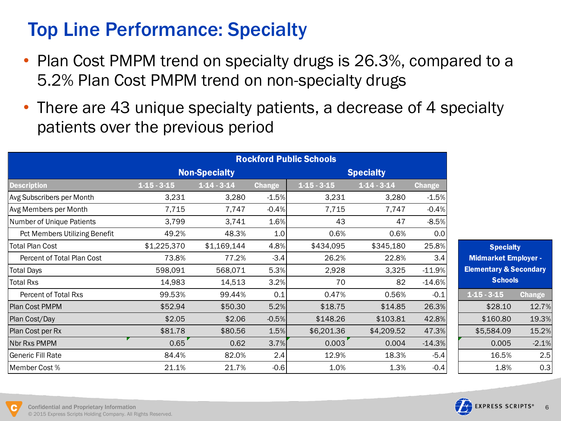# Top Line Performance: Specialty

- Plan Cost PMPM trend on specialty drugs is 26.3%, compared to a 5.2% Plan Cost PMPM trend on non-specialty drugs
- There are 43 unique specialty patients, a decrease of 4 specialty patients over the previous period

|                               |               |                      |               | <b>Rockford Public Schools</b> |                  |               |                                   |               |  |
|-------------------------------|---------------|----------------------|---------------|--------------------------------|------------------|---------------|-----------------------------------|---------------|--|
|                               |               | <b>Non-Specialty</b> |               |                                | <b>Specialty</b> |               |                                   |               |  |
| <b>Description</b>            | $1-15 - 3-15$ | $1-14-3-14$          | <b>Change</b> | $1-15-3-15$                    | $1-14-3-14$      | <b>Change</b> |                                   |               |  |
| Avg Subscribers per Month     | 3,231         | 3,280                | $-1.5%$       | 3,231                          | 3,280            | $-1.5%$       |                                   |               |  |
| Avg Members per Month         | 7,715         | 7,747                | $-0.4%$       | 7,715                          | 7,747            | $-0.4%$       |                                   |               |  |
| Number of Unique Patients     | 3,799         | 3,741                | 1.6%          | 43                             | 47               | $-8.5%$       |                                   |               |  |
| Pct Members Utilizing Benefit | 49.2%         | 48.3%                | 1.0           | 0.6%                           | 0.6%             | 0.0           |                                   |               |  |
| <b>Total Plan Cost</b>        | \$1,225,370   | \$1,169,144          | 4.8%          | \$434,095                      | \$345,180        | 25.8%         | <b>Specialty</b>                  |               |  |
| Percent of Total Plan Cost    | 73.8%         | 77.2%                | $-3.4$        | 26.2%                          | 22.8%            | 3.4           | <b>Midmarket Employer -</b>       |               |  |
| <b>Total Days</b>             | 598,091       | 568,071              | 5.3%          | 2,928                          | 3,325            | $-11.9%$      | <b>Elementary &amp; Secondary</b> |               |  |
| <b>Total Rxs</b>              | 14,983        | 14,513               | 3.2%          | 70                             | 82               | $-14.6%$      | <b>Schools</b>                    |               |  |
| Percent of Total Rxs          | 99.53%        | 99.44%               | 0.1           | 0.47%                          | 0.56%            | $-0.1$        | $1-15-3-15$                       | <b>Change</b> |  |
| Plan Cost PMPM                | \$52.94       | \$50.30              | 5.2%          | \$18.75                        | \$14.85          | 26.3%         | \$28.10                           | 12.7%         |  |
| Plan Cost/Day                 | \$2.05        | \$2.06               | $-0.5%$       | \$148.26                       | \$103.81         | 42.8%         | \$160.80                          | 19.3%         |  |
| Plan Cost per Rx              | \$81.78       | \$80.56              | 1.5%          | \$6,201.36                     | \$4,209.52       | 47.3%         | \$5,584.09                        | 15.2%         |  |
| Nbr Rxs PMPM                  | 0.65          | 0.62                 | 3.7%          | 0.003                          | 0.004            | $-14.3%$      | 0.005                             | $-2.1%$       |  |
| lGeneric Fill Rate            | 84.4%         | 82.0%                | 2.4           | 12.9%                          | 18.3%            | $-5.4$        | 16.5%                             | 2.5           |  |
| Member Cost %                 | 21.1%         | 21.7%                | $-0.6$        | 1.0%                           | 1.3%             | $-0.4$        | 1.8%                              | 0.3           |  |



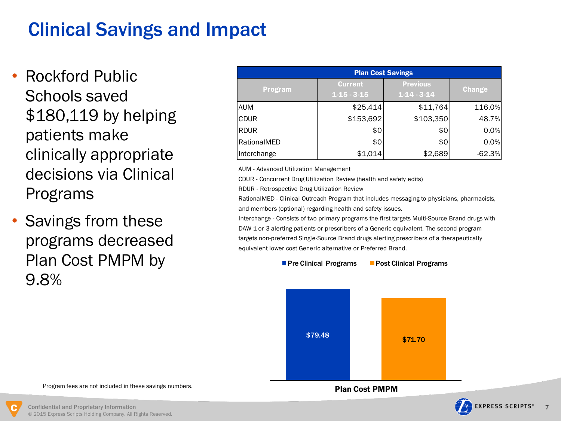# Clinical Savings and Impact

- Rockford Public Schools saved \$180,119 by helping patients make clinically appropriate decisions via Clinical Programs
- Savings from these programs decreased Plan Cost PMPM by 9.8%

|                | <b>Plan Cost Savings</b>            |                                |               |  |  |  |  |  |  |  |  |  |  |
|----------------|-------------------------------------|--------------------------------|---------------|--|--|--|--|--|--|--|--|--|--|
| <b>Program</b> | <b>Current</b><br>$1 - 15 - 3 - 15$ | <b>Previous</b><br>$1-14-3-14$ | <b>Change</b> |  |  |  |  |  |  |  |  |  |  |
| <b>AUM</b>     | \$25,414                            | \$11,764                       | 116.0%        |  |  |  |  |  |  |  |  |  |  |
| <b>CDUR</b>    | \$153,692                           | \$103,350                      | 48.7%         |  |  |  |  |  |  |  |  |  |  |
| <b>RDUR</b>    | \$0                                 | \$0                            | 0.0%          |  |  |  |  |  |  |  |  |  |  |
| RationalMED    | \$0                                 | \$0                            | 0.0%          |  |  |  |  |  |  |  |  |  |  |
| Interchange    | \$1,014                             | \$2,689                        | $-62.3%$      |  |  |  |  |  |  |  |  |  |  |

AUM - Advanced Utilization Management

CDUR - Concurrent Drug Utilization Review (health and safety edits)

RDUR - Retrospective Drug Utilization Review

RationalMED - Clinical Outreach Program that includes messaging to physicians, pharmacists, and members (optional) regarding health and safety issues.

Interchange - Consists of two primary programs the first targets Multi-Source Brand drugs with DAW 1 or 3 alerting patients or prescribers of a Generic equivalent. The second program targets non-preferred Single-Source Brand drugs alerting prescribers of a therapeutically equivalent lower cost Generic alternative or Preferred Brand.





Plan Cost PMPM





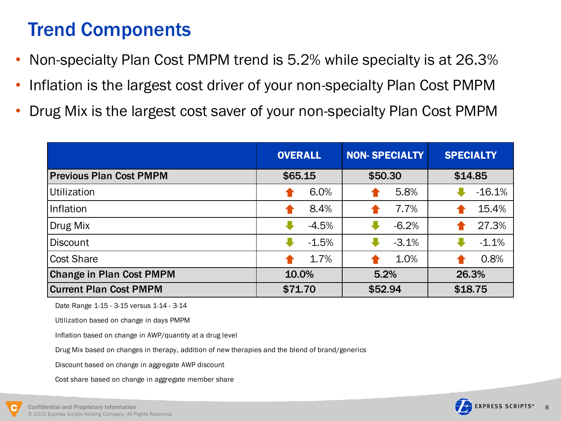# Trend Components

- Non-specialty Plan Cost PMPM trend is 5.2% while specialty is at 26.3%
- Inflation is the largest cost driver of your non-specialty Plan Cost PMPM
- Drug Mix is the largest cost saver of your non-specialty Plan Cost PMPM

|                                 | <b>OVERALL</b> | <b>NON-SPECIALTY</b> | <b>SPECIALTY</b> |  |  |
|---------------------------------|----------------|----------------------|------------------|--|--|
| <b>Previous Plan Cost PMPM</b>  | \$65.15        | \$50.30              | \$14.85          |  |  |
| Utilization                     | 6.0%           | 5.8%                 | $-16.1%$         |  |  |
| Inflation                       | 8.4%           | 7.7%                 | 15.4%            |  |  |
| Drug Mix                        | $-4.5%$        | $-6.2%$              | 27.3%            |  |  |
| <b>Discount</b>                 | $-1.5%$        | $-3.1%$              | $-1.1%$          |  |  |
| <b>Cost Share</b>               | 1.7%           | 1.0%                 | 0.8%             |  |  |
| <b>Change in Plan Cost PMPM</b> | 10.0%          | 5.2%                 | 26.3%            |  |  |
| <b>Current Plan Cost PMPM</b>   | \$71.70        | \$52.94              | \$18.75          |  |  |

Date Range 1-15 - 3-15 versus 1-14 - 3-14

Utilization based on change in days PMPM

Inflation based on change in AWP/quantity at a drug level

Drug Mix based on changes in therapy, addition of new therapies and the blend of brand/generics

Discount based on change in aggregate AWP discount

Cost share based on change in aggregate member share



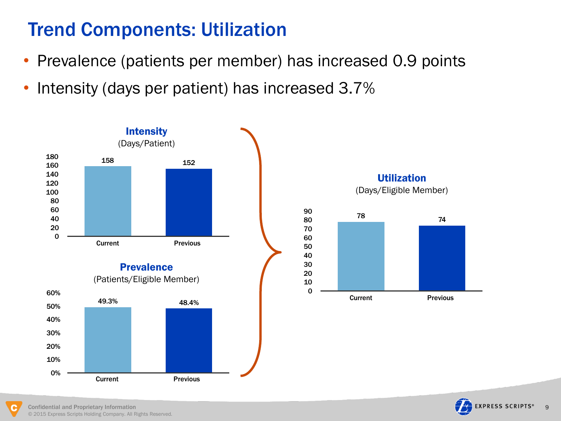# Trend Components: Utilization

- Prevalence (patients per member) has increased 0.9 points
- Intensity (days per patient) has increased 3.7%





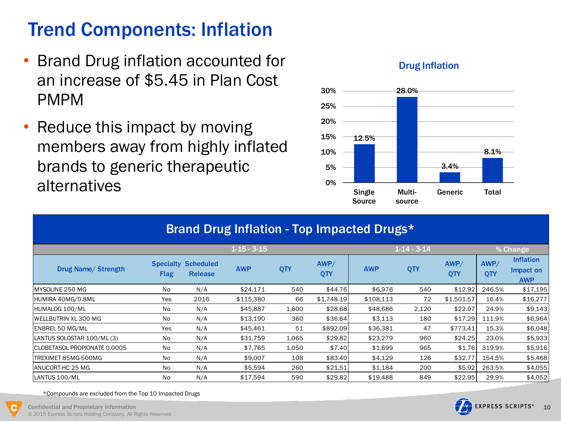# Trend Components: Inflation

- Brand Drug inflation accounted for an increase of \$5.45 in Plan Cost PMPM
- Reduce this impact by moving members away from highly inflated brands to generic therapeutic alternatives



### Drug Inflation

|                               | Brand Drug Inflation - Top Impacted Drugs* |                                    |                   |       |                    |            |                   |             |             |                                             |  |  |  |
|-------------------------------|--------------------------------------------|------------------------------------|-------------------|-------|--------------------|------------|-------------------|-------------|-------------|---------------------------------------------|--|--|--|
|                               |                                            |                                    | $1 - 15 - 3 - 15$ |       |                    |            | $1 - 14 - 3 - 14$ |             |             | % Change                                    |  |  |  |
| <b>Drug Name/ Strength</b>    | <b>Specialty</b><br><b>Flag</b>            | <b>Scheduled</b><br><b>Release</b> | <b>AWP</b>        | QTY   | AWP/<br><b>QTY</b> | <b>AWP</b> | QTY               | AWP/<br>QTY | AWP/<br>QTY | <b>Inflation</b><br>Impact on<br><b>AWP</b> |  |  |  |
| MYSOLINE 250 MG               | No                                         | N/A                                | \$24,171          | 540   | \$44.76            | \$6,976    | 540               | \$12.92     | 246.5%      | \$17,195                                    |  |  |  |
| HUMIRA 40MG/0.8ML             | Yes                                        | 2016                               | \$115,380         | 66    | \$1,748.19         | \$108,113  | 72                | \$1,501.57  | 16.4%       | \$16,277                                    |  |  |  |
| HUMALOG 100/ML                | No                                         | N/A                                | \$45,887          | 1,600 | \$28.68            | \$48,686   | 2,120             | \$22.97     | 24.9%       | \$9,143                                     |  |  |  |
| lWELLBUTRIN XL 300 MG         | No                                         | N/A                                | \$13,190          | 360   | \$36.64            | \$3,113    | 180               | \$17.29     | 111.9%      | \$6,964                                     |  |  |  |
| <b>ENBREL 50 MG/ML</b>        | Yes                                        | N/A                                | \$45,461          | 51    | \$892.09           | \$36,381   | 47                | \$773.41    | 15.3%       | \$6,048                                     |  |  |  |
| LANTUS SOLOSTAR 100/ML (3)    | No                                         | N/A                                | \$31,759          | 1,065 | \$29.82            | \$23,279   | 960               | \$24.25     | 23.0%       | \$5,933                                     |  |  |  |
| ICLOBETASOL PROPIONATE 0.0005 | No                                         | N/A                                | \$7,765           | 1,050 | \$7.40             | \$1,699    | 965               | \$1.76      | 319.9%      | \$5,916                                     |  |  |  |
| TREXIMET 85MG-500MG           | N <sub>o</sub>                             | N/A                                | \$9,007           | 108   | \$83.40            | \$4,129    | 126               | \$32.77     | 154.5%      | \$5,468                                     |  |  |  |
| IANUCORT-HC 25 MG             | N <sub>0</sub>                             | N/A                                | \$5,594           | 260   | \$21.51            | \$1,184    | 200               | \$5.92      | 263.5%      | \$4,055                                     |  |  |  |
| LANTUS 100/ML                 | No                                         | N/A                                | \$17,594          | 590   | \$29.82            | \$19,488   | 849               | \$22.95     | 29.9%       | \$4,052                                     |  |  |  |

\*Compounds are excluded from the Top 10 Impacted Drugs

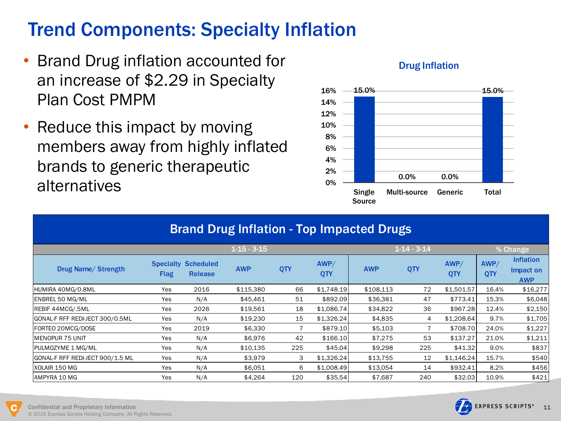# Trend Components: Specialty Inflation

- Brand Drug inflation accounted for an increase of \$2.29 in Specialty Plan Cost PMPM
- Reduce this impact by moving members away from highly inflated brands to generic therapeutic alternatives



### Drug Inflation

|                                  | <b>Brand Drug Inflation - Top Impacted Drugs</b> |                                    |                   |     |                    |            |                   |                    |                    |                                             |  |  |  |
|----------------------------------|--------------------------------------------------|------------------------------------|-------------------|-----|--------------------|------------|-------------------|--------------------|--------------------|---------------------------------------------|--|--|--|
|                                  |                                                  |                                    | $1 - 15 - 3 - 15$ |     |                    |            | $1 - 14 - 3 - 14$ |                    |                    | % Change                                    |  |  |  |
| <b>Drug Name/ Strength</b>       | <b>Specialty</b><br><b>Flag</b>                  | <b>Scheduled</b><br><b>Release</b> | <b>AWP</b>        | QTY | AWP/<br><b>QTY</b> | <b>AWP</b> | QTY               | AWP/<br><b>QTY</b> | AWP/<br><b>QTY</b> | <b>Inflation</b><br>Impact on<br><b>AWP</b> |  |  |  |
| HUMIRA 40MG/0.8ML                | Yes                                              | 2016                               | \$115,380         | 66  | \$1.748.19         | \$108.113  | 72                | \$1,501.57         | 16.4%              | \$16,277                                    |  |  |  |
| ENBREL 50 MG/ML                  | Yes                                              | N/A                                | \$45,461          | 51  | \$892.09           | \$36,381   | 47                | \$773.41           | 15.3%              | \$6,048                                     |  |  |  |
| REBIF 44MCG/.5ML                 | Yes                                              | 2026                               | \$19,561          | 18  | \$1,086.74         | \$34,822   | 36                | \$967.28           | 12.4%              | \$2,150                                     |  |  |  |
| GONAL-F RFF REDI-JECT 300/0.5ML  | Yes                                              | N/A                                | \$19,230          | 15  | \$1,326.24         | \$4,835    | 4                 | \$1,208.64         | 9.7%               | \$1,705                                     |  |  |  |
| FORTEO 20MCG/DOSE                | Yes                                              | 2019                               | \$6,330           |     | \$879.10           | \$5,103    |                   | \$708.70           | 24.0%              | \$1,227                                     |  |  |  |
| MENOPUR 75 UNIT                  | Yes                                              | N/A                                | \$6,976           | 42  | \$166.10           | \$7,275    | 53                | \$137.27           | 21.0%              | \$1,211                                     |  |  |  |
| <b>PULMOZYME 1 MG/ML</b>         | Yes                                              | N/A                                | \$10,135          | 225 | \$45.04]           | \$9,298    | 225               | \$41.32            | 9.0%               | \$837                                       |  |  |  |
| GONAL-F RFF REDI-JECT 900/1.5 ML | Yes                                              | N/A                                | \$3,979           | 3   | \$1,326.24         | \$13,755   | 12                | \$1,146.24         | 15.7%              | \$540                                       |  |  |  |
| XOLAIR 150 MG                    | Yes                                              | N/A                                | \$6,051           | 6   | \$1,008.49         | \$13,054   | 14                | \$932.41           | 8.2%               | \$456                                       |  |  |  |
| AMPYRA 10 MG                     | Yes                                              | N/A                                | \$4,264           | 120 | \$35.54            | \$7,687    | 240               | \$32.03            | 10.9%              | \$421                                       |  |  |  |

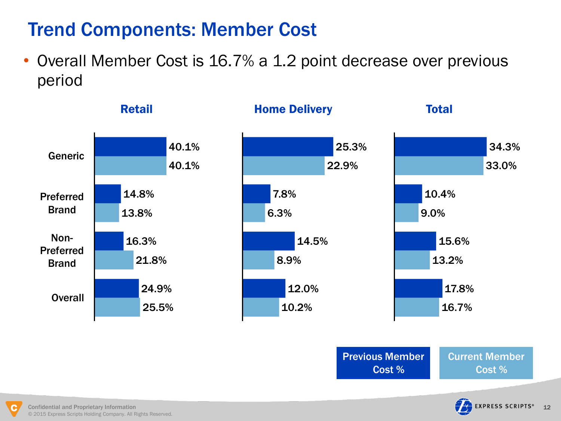# Trend Components: Member Cost

• Overall Member Cost is 16.7% a 1.2 point decrease over previous period



Previous Member Cost %

Current Member Cost %

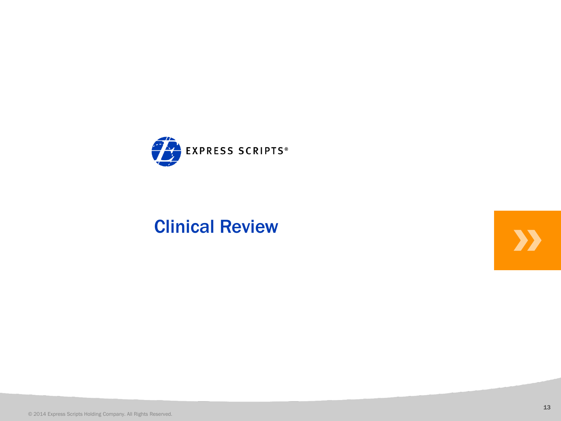

# ${\bf Clinical \; Review}$ 2014 Express Scripts Holding Company. All Rights Reserved.

**XX**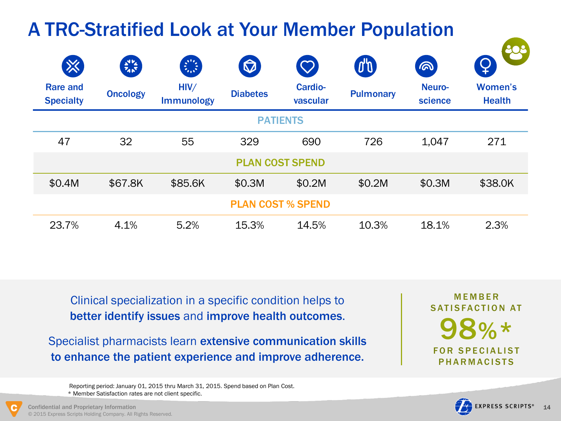### A TRC-Stratified Look at Your Member Population டை  $\boldsymbol{\nabla}$ Rare and HIV/ Cardio-Neuro-Women's **Oncology Diabetes Pulmonary Health Specialty** Immunology vascular science PATIENTS 47 32 55 329 690 726 1,047 271 PLAN COST SPEND \$0.4M \$67.8K \$85.6K \$0.3M \$0.2M \$0.2M \$0.3M \$38.0K PLAN COST % SPEND 23.7% 4.1% 5.2% 15.3% 14.5% 10.3% 18.1% 2.3%

Clinical specialization in a specific condition helps to better identify issues and improve health outcomes.

Specialist pharmacists learn extensive communication skills to enhance the patient experience and improve adherence.

98%\* **FOR SPECIALIST PHARMACISTS MFMRFR** SATISFACTION AT

 Reporting period: January 01, 2015 thru March 31, 2015. Spend based on Plan Cost. \* Member Satisfaction rates are not client specific.

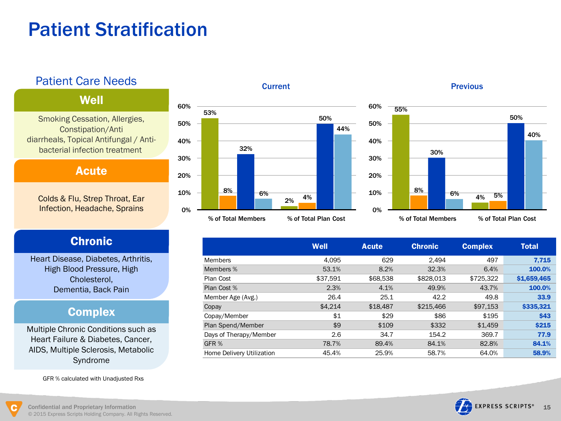# Patient Stratification

### Patient Care Needs

### **Well**

Smoking Cessation, Allergies, Constipation/Anti diarrheals, Topical Antifungal / Anti bacterial infection treatment

Acute

Colds & Flu, Strep Throat, Ear Infection, Headache, Sprains

### Chronic

Heart Disease, Diabetes, Arthritis, High Blood Pressure, High Cholesterol, Dementia, Back Pain

### **Complex**

Multiple Chronic Conditions such as Heart Failure & Diabetes, Cancer, AIDS, Multiple Sclerosis, Metabolic Syndrome

GFR % calculated with Unadjusted Rxs



### **Previous**



|                           | <b>Well</b> | <b>Acute</b> | <b>Chronic</b> | <b>Complex</b> | <b>Total</b> |
|---------------------------|-------------|--------------|----------------|----------------|--------------|
| <b>Members</b>            | 4.095       | 629          | 2.494          | 497            | 7,715        |
| Members %                 | 53.1%       | 8.2%         | 32.3%          | 6.4%           | 100.0%       |
| Plan Cost                 | \$37,591    | \$68,538     | \$828,013      | \$725,322      | \$1,659,465  |
| Plan Cost %               | 2.3%        | 4.1%         | 49.9%          | 43.7%          | 100.0%       |
| Member Age (Avg.)         | 26.4        | 25.1         | 42.2           | 49.8           | 33.9         |
| Copay                     | \$4.214     | \$18,487     | \$215,466      | \$97,153       | \$335,321    |
| Copay/Member              | \$1         | \$29         | \$86           | \$195          | \$43         |
| Plan Spend/Member         | \$9         | \$109        | \$332          | \$1,459        | <b>\$215</b> |
| Days of Therapy/Member    | 2.6         | 34.7         | 154.2          | 369.7          | 77.9         |
| GFR %                     | 78.7%       | 89.4%        | 84.1%          | 82.8%          | 84.1%        |
| Home Delivery Utilization | 45.4%       | 25.9%        | 58.7%          | 64.0%          | 58.9%        |

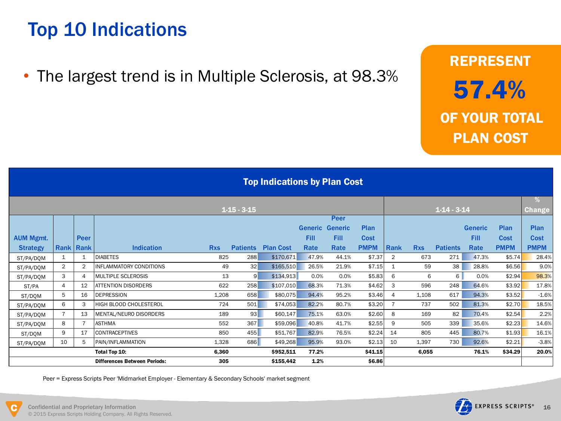# Top 10 Indications

• The largest trend is in Multiple Sclerosis, at 98.3%

# REPRESENT 57.4% OF YOUR TOTAL PLAN COST

|                  | <b>Top Indications by Plan Cost</b> |                |                                     |            |                 |                  |                        |             |             |                |            |                 |                |             |               |
|------------------|-------------------------------------|----------------|-------------------------------------|------------|-----------------|------------------|------------------------|-------------|-------------|----------------|------------|-----------------|----------------|-------------|---------------|
|                  |                                     |                |                                     |            | $1-15-3-15$     |                  |                        |             |             |                |            | $1-14-3-14$     |                |             | %             |
|                  |                                     |                |                                     |            |                 |                  |                        | Peer        |             |                |            |                 |                |             | <b>Change</b> |
|                  |                                     |                |                                     |            |                 |                  | <b>Generic Generic</b> |             | Plan        |                |            |                 | <b>Generic</b> | Plan        | Plan          |
| <b>AUM Mgmt.</b> |                                     | <b>Peer</b>    |                                     |            |                 |                  | <b>Fill</b>            | <b>Fill</b> | Cost        |                |            |                 | <b>Fill</b>    | <b>Cost</b> | <b>Cost</b>   |
| <b>Strategy</b>  | <b>Rank Rank</b>                    |                | <b>Indication</b>                   | <b>Rxs</b> | <b>Patients</b> | <b>Plan Cost</b> | Rate                   | Rate        | <b>PMPM</b> | Rank           | <b>Rxs</b> | <b>Patients</b> | Rate           | <b>PMPM</b> | <b>PMPM</b>   |
| ST/PA/DOM        | 1                                   | $\mathbf{1}$   | <b>DIABETES</b>                     | 825        | 288             | \$170,671        | 47.9%                  | 44.1%       | \$7.37      | $\overline{2}$ | 673        | 271             | 47.3%          | \$5.74      | 28.4%         |
| ST/PA/DQM        | $\overline{2}$                      | $\overline{2}$ | <b>INFLAMMATORY CONDITIONS</b>      | 49         | 32              | \$165,510        | 26.5%                  | 21.9%       | \$7.15      | 1              | 59         | 38              | 28.8%          | \$6.56      | 9.0%          |
| ST/PA/DOM        | 3                                   | 4              | <b>MULTIPLE SCLEROSIS</b>           | 13         | 9 <sup>1</sup>  | \$134,913        | 0.0%                   | 0.0%        | \$5.83      | 6              | 6          | 6               | 0.0%           | \$2.94      | 98.3%         |
| ST/PA            | $\overline{4}$                      | 12             | ATTENTION DISORDERS                 | 622        | 258             | \$107,010        | 68.3%                  | 71.3%       | \$4.62      | 3              | 596        | 248             | 64.6%          | \$3.92      | 17.8%         |
| ST/DQM           | 5                                   | 16             | <b>DEPRESSION</b>                   | 1.208      | 658             | \$80,075         | 94.4%                  | 95.2%       | \$3.46      | $\overline{4}$ | 1.108      | 617             | 94.3%          | \$3.52      | $-1.6%$       |
| ST/PA/DOM        | 6                                   | 3              | HIGH BLOOD CHOLESTEROL              | 724        | 501             | \$74,053         | 82.2%                  | 80.7%       | \$3.20      |                | 737        | 502             | 81.3%          | \$2.70      | 18.5%         |
| ST/PA/DQM        |                                     | 13             | MENTAL/NEURO DISORDERS              | 189        | 93              | \$60,147         | 75.1%                  | 63.0%       | \$2.60      | 8              | 169        | 82              | 70.4%          | \$2.54      | 2.2%          |
| ST/PA/DQM        | 8                                   | $\overline{7}$ | <b>ASTHMA</b>                       | 552        | 367             | \$59,096         | 40.8%                  | 41.7%       | \$2.55      | 9              | 505        | 339             | 35.6%          | \$2.23      | 14.6%         |
| ST/DQM           | 9                                   | 17             | <b>CONTRACEPTIVES</b>               | 850        | 455             | \$51,767         | 82.9%                  | 76.5%       | \$2.24      | 14             | 805        | 445             | 80.7%          | \$1.93      | 16.1%         |
| ST/PA/DQM        | 10                                  | 5              | PAIN/INFLAMMATION                   | 1,328      | 686             | \$49,268         | 95.9%                  | 93.0%       | \$2.13      | 10             | 1.397      | 730             | 92.6%          | \$2.21      | $-3.8%$       |
|                  |                                     |                | Total Top 10:                       | 6.360      |                 | \$952.511        | 77.2%                  |             | \$41.15     |                | 6.055      |                 | 76.1%          | \$34.29     | 20.0%         |
|                  |                                     |                | <b>Differences Between Periods:</b> | 305        |                 | \$155,442        | 1.2%                   |             | \$6.86      |                |            |                 |                |             |               |

Peer = Express Scripts Peer 'Midmarket Employer - Elementary & Secondary Schools' market segment

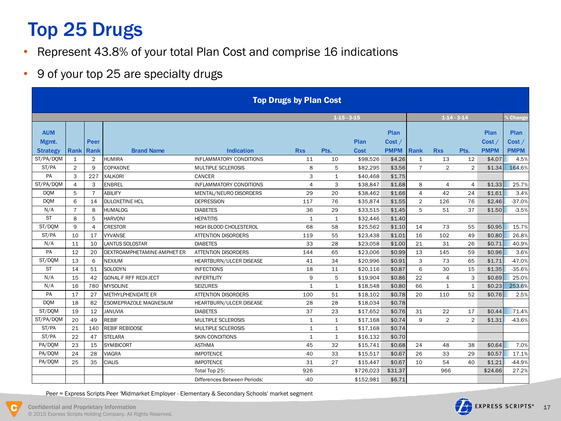# Top 25 Drugs

- Represent 43.8% of your total Plan Cost and comprise 16 indications
- 9 of your top 25 are specialty drugs

| <b>Top Drugs by Plan Cost</b> |                  |                |                              |                                |                |              |              |                               |                |                |                |                               |                               |
|-------------------------------|------------------|----------------|------------------------------|--------------------------------|----------------|--------------|--------------|-------------------------------|----------------|----------------|----------------|-------------------------------|-------------------------------|
|                               |                  |                |                              |                                |                | $1-15-3-15$  |              |                               |                | $1-14-3-14$    |                |                               | $6$ Change                    |
| <b>AUM</b><br>Mgmt.           | <b>Rank Rank</b> | Peer           | <b>Brand Name</b>            | <b>Indication</b>              | <b>Rxs</b>     | Pts.         | Plan<br>Cost | Plan<br>Cost /<br><b>PMPM</b> | Rank           | <b>Rxs</b>     | Pts.           | Plan<br>Cost /<br><b>PMPM</b> | Plan<br>Cost /<br><b>PMPM</b> |
| Strategy<br>ST/PA/DQM         | 1                | $\overline{2}$ | <b>HUMIRA</b>                | <b>INFLAMMATORY CONDITIONS</b> | 11             | 10           | \$98,526     | \$4.26                        | $\mathbf{1}$   | 13             | 12             | \$4.07                        | 4.5%                          |
| ST/PA                         | $\overline{2}$   | 9              | COPAXONE                     | <b>MULTIPLE SCLEROSIS</b>      | 8              | 5            | \$82.295     | \$3.56                        | $\overline{7}$ | $\overline{2}$ | $\overline{2}$ | \$1.34                        | 164.6%                        |
| PA                            | 3                | 227            | <b>XALKORI</b>               | CANCER                         | 3              | $\mathbf{1}$ | \$40,468     | \$1.75                        |                |                |                |                               |                               |
| ST/PA/DOM                     | $\overline{4}$   | 3              | <b>ENBREL</b>                | <b>INFLAMMATORY CONDITIONS</b> | $\overline{4}$ | 3            | \$38,847     | \$1.68                        | 8              | 4              | 4              | \$1.33                        | 25.7%                         |
| <b>DOM</b>                    | 5                | $\overline{7}$ | <b>ABILIFY</b>               | MENTAL/NEURO DISORDERS         | 29             | 20           | \$38.462     | \$1.66                        | $\overline{4}$ | 42             | 24             | \$1.61                        | 3.4%                          |
| <b>DQM</b>                    | 6                | 14             | <b>DULOXETINE HCL</b>        | <b>DEPRESSION</b>              | 117            | 76           | \$35,874     | \$1.55                        | 2              | 126            | 76             | \$2.46                        | $-37.0%$                      |
| N/A                           | $\overline{7}$   | 8              | <b>HUMALOG</b>               | <b>DIABETES</b>                | 36             | 29           | \$33.515     | \$1.45                        | 5              | 51             | 37             | \$1.50                        | $-3.5%$                       |
| <b>ST</b>                     | 8                | 5              | <b>HARVONI</b>               | <b>HEPATITIS</b>               | 1              | $\mathbf{1}$ | \$32,446     | \$1.40                        |                |                |                |                               |                               |
| ST/DOM                        | 9                | $\overline{4}$ | <b>CRESTOR</b>               | HIGH BLOOD CHOLESTEROL         | 68             | 58           | \$25,562     | \$1.10                        | 14             | 73             | 55             | \$0.95                        | 15.7%                         |
| ST/PA                         | 10               | 17             | <b>VYVANSE</b>               | <b>ATTENTION DISORDERS</b>     | 119            | 55           | \$23,438     | \$1.01                        | 16             | 102            | 49             | \$0.80                        | 26.8%                         |
| N/A                           | 11               | 10             | <b>LANTUS SOLOSTAR</b>       | <b>DIABETES</b>                | 33             | 28           | \$23,058     | \$1.00                        | 21             | 31             | 26             | \$0.71                        | 40.9%                         |
| PA                            | 12               | 20             | DEXTROAMPHETAMINE-AMPHET ER  | <b>ATTENTION DISORDERS</b>     | 144            | 65           | \$23,006     | \$0.99                        | 13             | 145            | 59             | \$0.96                        | 3.6%                          |
| ST/DQM                        | 13               | 6              | <b>NEXIUM</b>                | HEARTBURN/ULCER DISEASE        | 41             | 34           | \$20.996     | \$0.91                        | 3              | 73             | 65             | \$1.71                        | $-47.0%$                      |
| <b>ST</b>                     | 14               | 51             | <b>SOLODYN</b>               | <b>INFECTIONS</b>              | 18             | 11           | \$20,116     | \$0.87                        | 6              | 30             | 15             | \$1.35                        | $-35.6%$                      |
| N/A                           | 15               | 42             | <b>GONAL-F RFF REDI-JECT</b> | <b>INFERTILITY</b>             | 9              | 5            | \$19.904     | \$0.86                        | 22             | 4              | 3              | \$0.69                        | 25.0%                         |
| N/A                           | 16               | 780            | <b>MYSOLINE</b>              | <b>SEIZURES</b>                | $\mathbf{1}$   | $\mathbf{1}$ | \$18.548     | \$0.80                        | 66             | $\mathbf{1}$   | 1              | \$0.23                        | 253.6%                        |
| PA                            | 17               | 27             | <b>METHYLPHENIDATE ER</b>    | <b>ATTENTION DISORDERS</b>     | 100            | 51           | \$18,102     | \$0.78                        | 20             | 110            | 52             | \$0.76                        | 2.5%                          |
| <b>DOM</b>                    | 18               | 82             | ESOMEPRAZOLE MAGNESIUM       | HEARTBURN/ULCER DISEASE        | 28             | 28           | \$18,034     | \$0.78                        |                |                |                |                               |                               |
| ST/DOM                        | 19               | 12             | <b>JANUVIA</b>               | <b>DIABETES</b>                | 37             | 23           | \$17.652     | \$0.76                        | 31             | 22             | 17             | \$0.44                        | 71.4%                         |
| ST/PA/DQM                     | 20               | 49             | <b>REBIF</b>                 | MULTIPLE SCLEROSIS             | 1              | $\mathbf{1}$ | \$17,168     | \$0.74                        | 9              | $\overline{2}$ | $\overline{2}$ | \$1.31                        | $-43.6%$                      |
| ST/PA                         | 21               | 140            | <b>REBIF REBIDOSE</b>        | <b>MULTIPLE SCLEROSIS</b>      | $\mathbf{1}$   | $1\,$        | \$17,168     | \$0.74                        |                |                |                |                               |                               |
| ST/PA                         | 22               | 47             | <b>STELARA</b>               | <b>SKIN CONDITIONS</b>         | 1              | $\mathbf{1}$ | \$16.132     | \$0.70                        |                |                |                |                               |                               |
| PA/DOM                        | 23               | 15             | <b>SYMBICORT</b>             | <b>ASTHMA</b>                  | 45             | 32           | \$15.741     | \$0.68                        | 24             | 48             | 38             | \$0.64                        | 7.0%                          |
| PA/DOM                        | 24               | 28             | <b>VIAGRA</b>                | <b>IMPOTENCE</b>               | 40             | 33           | \$15.517     | \$0.67                        | 26             | 33             | 29             | \$0.57                        | 17.1%                         |
| PA/DOM                        | 25               | 35             | <b>CIALIS</b>                | <b>IMPOTENCE</b>               | 31             | 27           | \$15,447     | \$0.67                        | 10             | 54             | 40             | \$1.21                        | $-44.9%$                      |
|                               |                  |                |                              | Total Top 25:                  | 926            |              | \$726,023    | \$31.37                       |                | 966            |                | \$24.66                       | 27.2%                         |
|                               |                  |                |                              | Differences Between Periods:   | $-40$          |              | \$152,981    | \$6.71                        |                |                |                |                               |                               |

Peer = Express Scripts Peer 'Midmarket Employer - Elementary & Secondary Schools' market segment

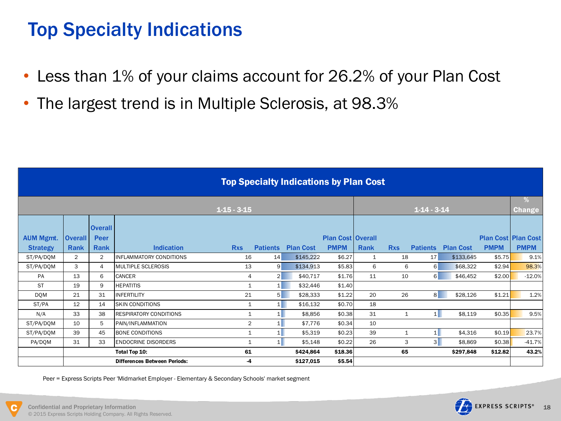# Top Specialty Indications

- Less than 1% of your claims account for 26.2% of your Plan Cost
- The largest trend is in Multiple Sclerosis, at 98.3%

|                  | <b>Top Specialty Indications by Plan Cost</b> |                        |                                     |                |                 |                  |                          |              |              |                   |                  |             |                            |
|------------------|-----------------------------------------------|------------------------|-------------------------------------|----------------|-----------------|------------------|--------------------------|--------------|--------------|-------------------|------------------|-------------|----------------------------|
|                  |                                               |                        |                                     | $1-15-3-15$    |                 |                  |                          |              |              | $1 - 14 - 3 - 14$ |                  |             | %<br><b>Change</b>         |
| <b>AUM Mgmt.</b> | <b>Overall</b>                                | <b>Overall</b><br>Peer |                                     |                |                 |                  | <b>Plan Cost Overall</b> |              |              |                   |                  |             | <b>Plan Cost Plan Cost</b> |
| <b>Strategy</b>  | Rank                                          | Rank                   | <b>Indication</b>                   | <b>Rxs</b>     | <b>Patients</b> | <b>Plan Cost</b> | <b>PMPM</b>              | Rank         | <b>Rxs</b>   | <b>Patients</b>   | <b>Plan Cost</b> | <b>PMPM</b> | <b>PMPM</b>                |
| ST/PA/DQM        | $\overline{2}$                                | $\overline{2}$         | INFLAMMATORY CONDITIONS             | 16             | 14              | \$145,222        | \$6.27                   | $\mathbf{1}$ | 18           | 17                | \$133,645        | \$5.75      | 9.1%                       |
| ST/PA/DQM        | 3                                             | 4                      | <b>MULTIPLE SCLEROSIS</b>           | 13             | $\overline{9}$  | \$134,913        | \$5.83                   | 6            | 6            | 6                 | \$68,322         | \$2.94      | 98.3%                      |
| PA               | 13                                            | 6                      | <b>CANCER</b>                       | 4              | 2 <sup>1</sup>  | \$40,717         | \$1.76                   | 11           | 10           | 6                 | \$46,452         | \$2.00      | $-12.0%$                   |
| <b>ST</b>        | 19                                            | 9                      | <b>HEPATITIS</b>                    | $\mathbf{1}$   | 1               | \$32,446         | \$1.40                   |              |              |                   |                  |             |                            |
| <b>DQM</b>       | 21                                            | 31                     | <b>INFERTILITY</b>                  | 21             | 5 <sup>1</sup>  | \$28,333         | \$1.22                   | 20           | 26           | 8 <sup>1</sup>    | \$28,126         | \$1.21      | 1.2%                       |
| ST/PA            | 12                                            | 14                     | <b>SKIN CONDITIONS</b>              | $\mathbf{1}$   | 1               | \$16,132         | \$0.70                   | 18           |              |                   |                  |             |                            |
| N/A              | 33                                            | 38                     | <b>RESPIRATORY CONDITIONS</b>       | $\mathbf{1}$   | 1               | \$8.856          | \$0.38                   | 31           | $\mathbf{1}$ | 1                 | \$8,119          | \$0.35      | 9.5%                       |
| ST/PA/DQM        | 10                                            | 5                      | PAIN/INFLAMMATION                   | $\overline{2}$ | 1               | \$7.776          | \$0.34                   | 10           |              |                   |                  |             |                            |
| ST/PA/DOM        | 39                                            | 45                     | <b>BONE CONDITIONS</b>              | $\mathbf{1}$   | 1               | \$5.319          | \$0.23                   | 39           | $\mathbf{1}$ | 1                 | \$4.316          | \$0.19      | 23.7%                      |
| PA/DQM           | 31                                            | 33                     | <b>ENDOCRINE DISORDERS</b>          | $\mathbf{1}$   | 1               | \$5,148          | \$0.22                   | 26           | 3            | 3                 | \$8,869          | \$0.38      | $-41.7%$                   |
|                  |                                               |                        | Total Top 10:                       | 61             |                 | \$424,864        | \$18.36                  |              | 65           |                   | \$297,848        | \$12.82     | 43.2%                      |
|                  |                                               |                        | <b>Differences Between Periods:</b> | -4             |                 | \$127,015        | \$5.54                   |              |              |                   |                  |             |                            |

Peer = Express Scripts Peer 'Midmarket Employer - Elementary & Secondary Schools' market segment

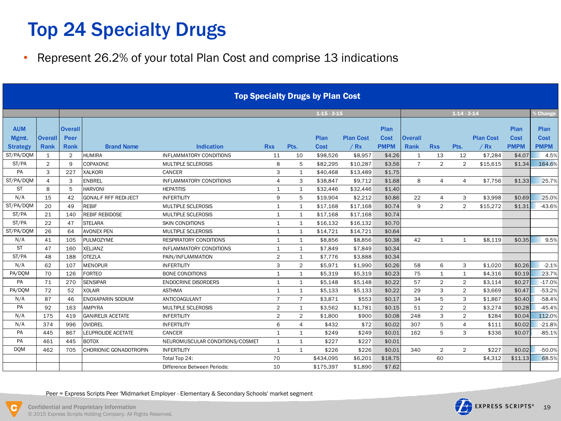# Top 24 Specialty Drugs

• Represent 26.2% of your total Plan Cost and comprise 13 indications

|                                        |                        |                                       |                              |                                 |                |                | <b>Top Specialty Drugs by Plan Cost</b> |                          |                             |                        |                |                |                          |                             |                                    |
|----------------------------------------|------------------------|---------------------------------------|------------------------------|---------------------------------|----------------|----------------|-----------------------------------------|--------------------------|-----------------------------|------------------------|----------------|----------------|--------------------------|-----------------------------|------------------------------------|
|                                        |                        |                                       |                              |                                 |                |                | $1-15-3-15$                             |                          |                             |                        |                | $1-14-3-14$    |                          |                             | $6$ Change                         |
| <b>AUM</b><br>Mgmt.<br><b>Strategy</b> | <b>Overall</b><br>Rank | <b>Overall</b><br>Peer<br><b>Rank</b> | <b>Brand Name</b>            | <b>Indication</b>               | <b>Rxs</b>     | Pts.           | Plan<br>Cost                            | <b>Plan Cost</b><br>/ Rx | Plan<br>Cost<br><b>PMPM</b> | <b>Overall</b><br>Rank | <b>Rxs</b>     | Pts.           | <b>Plan Cost</b><br>/ Rx | Plan<br>Cost<br><b>PMPM</b> | <b>Plan</b><br>Cost<br><b>PMPM</b> |
| ST/PA/DQM                              | 1                      | $\overline{2}$                        | <b>HUMIRA</b>                | <b>INFLAMMATORY CONDITIONS</b>  | 11             | 10             | \$98,526                                | \$8,957                  | \$4.26                      | 1                      | 13             | 12             | \$7.284                  | \$4.07                      | 4.5%                               |
| ST/PA                                  | $\overline{2}$         | 9                                     | COPAXONE                     | MULTIPLE SCLEROSIS              | 8              | 5              | \$82,295                                | \$10,287                 | \$3.56                      | $\overline{7}$         | $\overline{2}$ | $\overline{2}$ | \$15,615                 | \$1.34                      | 164.6%                             |
| PA                                     | 3                      | 227                                   | XALKORI                      | CANCER                          | 3              | $\mathbf{1}$   | \$40.468                                | \$13.489                 | \$1.75                      |                        |                |                |                          |                             |                                    |
| ST/PA/DOM                              | 4                      | 3                                     | <b>ENBREL</b>                | <b>INFLAMMATORY CONDITIONS</b>  | $\overline{4}$ | 3              | \$38.847                                | \$9.712                  | \$1.68                      | 8                      | $\overline{4}$ | $\overline{4}$ | \$7.756                  | \$1.33                      | 25.7%                              |
| <b>ST</b>                              | 8                      | 5                                     | <b>HARVONI</b>               | <b>HEPATITIS</b>                | $\mathbf{1}$   | $\mathbf{1}$   | \$32,446                                | \$32,446                 | \$1.40                      |                        |                |                |                          |                             |                                    |
| N/A                                    | 15                     | 42                                    | <b>GONAL-F RFF REDI-JECT</b> | <b>INFERTILITY</b>              | 9              | 5              | \$19,904                                | \$2,212                  | \$0.86                      | 22                     | 4              | 3              | \$3.998                  | \$0.69                      | 25.0%                              |
| ST/PA/DQM                              | 20                     | 49                                    | <b>REBIF</b>                 | <b>MULTIPLE SCLEROSIS</b>       | $\mathbf{1}$   | $\mathbf{1}$   | \$17.168                                | \$17.168                 | \$0.74                      | 9                      | $\overline{2}$ | $\overline{2}$ | \$15.272                 | \$1.31                      | $-43.6%$                           |
| ST/PA                                  | 21                     | 140                                   | <b>REBIF REBIDOSE</b>        | <b>MULTIPLE SCLEROSIS</b>       | $\mathbf{1}$   | $\mathbf{1}$   | \$17,168                                | \$17,168                 | \$0.74                      |                        |                |                |                          |                             |                                    |
| ST/PA                                  | 22                     | 47                                    | <b>STELARA</b>               | <b>SKIN CONDITIONS</b>          | $\mathbf{1}$   | $\mathbf{1}$   | \$16,132                                | \$16,132                 | \$0.70                      |                        |                |                |                          |                             |                                    |
| ST/PA/DQM                              | 26                     | 64                                    | <b>AVONEX PEN</b>            | MULTIPLE SCLEROSIS              | $\mathbf{1}$   | $\mathbf{1}$   | \$14,721                                | \$14,721                 | \$0.64                      |                        |                |                |                          |                             |                                    |
| N/A                                    | 41                     | 105                                   | <b>PULMOZYME</b>             | <b>RESPIRATORY CONDITIONS</b>   | $\mathbf{1}$   | $\mathbf{1}$   | \$8,856                                 | \$8,856                  | \$0.38                      | 42                     | $\mathbf{1}$   | $\mathbf{1}$   | \$8.119                  | \$0.35                      | 9.5%                               |
| <b>ST</b>                              | 47                     | 160                                   | <b>XELJANZ</b>               | <b>INFLAMMATORY CONDITIONS</b>  | $\mathbf{1}$   | $\mathbf{1}$   | \$7,849                                 | \$7,849                  | \$0.34                      |                        |                |                |                          |                             |                                    |
| ST/PA                                  | 48                     | 188                                   | <b>OTEZLA</b>                | PAIN/INFLAMMATION               | $\overline{2}$ | $\mathbf{1}$   | \$7,776                                 | \$3,888                  | \$0.34                      |                        |                |                |                          |                             |                                    |
| N/A                                    | 62                     | 107                                   | <b>MENOPUR</b>               | <b>INFERTILITY</b>              | 3              | $\overline{2}$ | \$5,971                                 | \$1,990                  | \$0.26                      | 58                     | 6              | 3              | \$1.020                  | \$0.26                      | $-2.1%$                            |
| PA/DQM                                 | 70                     | 126                                   | <b>FORTEO</b>                | BONE CONDITIONS                 | $\mathbf{1}$   | $\mathbf{1}$   | \$5,319                                 | \$5,319                  | \$0.23                      | 75                     | $\mathbf{1}$   | $\mathbf{1}$   | \$4,316                  | \$0.19                      | 23.7%                              |
| PA                                     | 71                     | 270                                   | <b>SENSIPAR</b>              | <b>ENDOCRINE DISORDERS</b>      | 1              | $\mathbf{1}$   | \$5,148                                 | \$5,148                  | \$0.22                      | 57                     | $\overline{2}$ | $\overline{2}$ | \$3,114                  | \$0.27                      | $-17.0%$                           |
| PA/DQM                                 | 72                     | 52                                    | <b>XOLAIR</b>                | <b>ASTHMA</b>                   | $\mathbf{1}$   | $\mathbf{1}$   | \$5,133                                 | \$5,133                  | \$0.22                      | 29                     | 3              | $\overline{2}$ | \$3.669                  | \$0.47                      | $-53.2%$                           |
| N/A                                    | 87                     | 46                                    | ENOXAPARIN SODIUM            | ANTICOAGULANT                   | $\overline{7}$ | $\overline{7}$ | \$3,871                                 | \$553                    | \$0.17                      | 34                     | 5              | 3              | \$1,867                  | \$0.40                      | $-58.4%$                           |
| PA                                     | 92                     | 163                                   | <b>AMPYRA</b>                | <b>MULTIPLE SCLEROSIS</b>       | $\overline{2}$ | $\mathbf{1}$   | \$3,562                                 | \$1,781                  | \$0.15                      | 51                     | $\overline{2}$ | $\overline{2}$ | \$3,274                  | \$0.28                      | $-45.4%$                           |
| N/A                                    | 175                    | 419                                   | <b>GANIRELIX ACETATE</b>     | <b>INFERTILITY</b>              | $\overline{2}$ | $\overline{2}$ | \$1,800                                 | \$900                    | \$0.08                      | 248                    | 3              | $\overline{2}$ | \$284                    | \$0.04                      | 112.0%                             |
| N/A                                    | 374                    | 996                                   | OVIDREL                      | <b>INFERTILITY</b>              | 6              | 4              | \$432                                   | \$72                     | \$0.02                      | 307                    | 5              | 4              | \$111                    | \$0.02                      | $-21.8%$                           |
| PA                                     | 445                    | 867                                   | LEUPROLIDE ACETATE           | CANCER                          | $\mathbf{1}$   | $\mathbf{1}$   | \$249                                   | \$249                    | \$0.01                      | 162                    | 5              | 3              | \$336                    | \$0.07                      | $-85.1%$                           |
| PA                                     | 461                    | 445                                   | <b>BOTOX</b>                 | NEUROMUSCULAR CONDITIONS/COSMET | $\mathbf{1}$   | $\mathbf{1}$   | \$227                                   | \$227                    | \$0.01                      |                        |                |                |                          |                             |                                    |
| <b>DOM</b>                             | 462                    | 705                                   | CHORIONIC GONADOTROPIN       | <b>INFERTILITY</b>              | $\mathbf{1}$   | $\mathbf{1}$   | \$226                                   | \$226                    | \$0.01                      | 340                    | $\overline{2}$ | $\overline{2}$ | \$227                    | \$0.02                      | $-50.0%$                           |
|                                        |                        |                                       |                              | Total Top 24:                   | 70             |                | \$434,095                               | \$6.201                  | \$18.75                     |                        | 60             |                | \$4.312                  | \$11.13                     | 68.5%                              |
|                                        |                        |                                       |                              | Difference Between Periods:     | 10             |                | \$175,397                               | \$1,890                  | \$7.62                      |                        |                |                |                          |                             |                                    |
|                                        |                        |                                       |                              |                                 |                |                |                                         |                          |                             |                        |                |                |                          |                             |                                    |

Peer = Express Scripts Peer 'Midmarket Employer - Elementary & Secondary Schools' market segment



Confidential and Proprietary Information 19 © 2015 Express Scripts Holding Company. All Rights Reserved.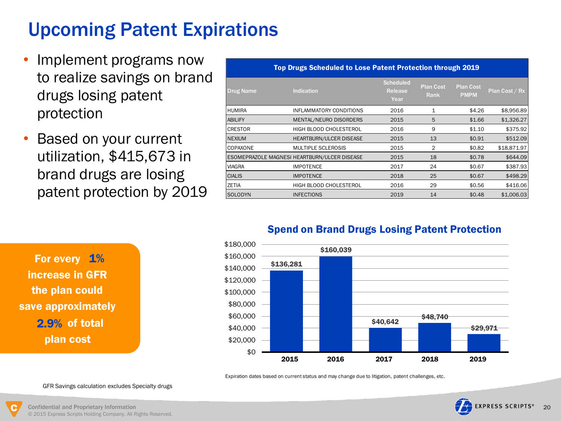# Upcoming Patent Expirations

- Implement programs now to realize savings on brand drugs losing patent protection
- Based on your current utilization, \$415,673 in brand drugs are losing patent protection by 2019

|                | Top Drugs Scheduled to Lose Patent Protection through 2019 |                                     |                          |                                 |                |
|----------------|------------------------------------------------------------|-------------------------------------|--------------------------|---------------------------------|----------------|
| Drug Name      | <b>Indication</b>                                          | <b>Scheduled</b><br>Release<br>Year | <b>Plan Cost</b><br>Rank | <b>Plan Cost</b><br><b>PMPM</b> | Plan Cost / Rx |
| HUMIRA         | INFLAMMATORY CONDITIONS                                    | 2016                                | 1                        | \$4.26                          | \$8,956.89     |
| <b>ABILIFY</b> | MENTAL/NEURO DISORDERS                                     | 2015                                | 5                        | \$1.66                          | \$1,326.27     |
| <b>CRESTOR</b> | <b>HIGH BLOOD CHOLESTEROL</b>                              | 2016                                | 9                        | \$1.10                          | \$375.92       |
| <b>NEXIUM</b>  | <b>HEARTBURN/ULCER DISEASE</b>                             | 2015                                | 13                       | \$0.91                          | \$512.09       |
| COPAXONE       | <b>MULTIPLE SCLEROSIS</b>                                  | 2015                                | 2                        | \$0.82                          | \$18,871.97    |
|                | ESOMEPRAZOLE MAGNESI HEARTBURN/ULCER DISEASE               | 2015                                | 18                       | \$0.78                          | \$644.09       |
| VIAGRA         | <b>IMPOTENCE</b>                                           | 2017                                | 24                       | \$0.67                          | \$387.93       |
| <b>CIALIS</b>  | <b>IMPOTENCE</b>                                           | 2018                                | 25                       | \$0.67                          | \$498.29       |
| ZETIA          | HIGH BLOOD CHOLESTEROL                                     | 2016                                | 29                       | \$0.56                          | \$416.06       |
| SOLODYN        | <b>INFECTIONS</b>                                          | 2019                                | 14                       | \$0.48                          | \$1,006.03     |

For every 1% plan cost increase in GFR the plan could save approximately 2.9% of total

### Spend on Brand Drugs Losing Patent Protection



Expiration dates based on current status and may change due to litigation, patent challenges, etc.



© 2015 Express Scripts Holding Company. All Rights Reserved.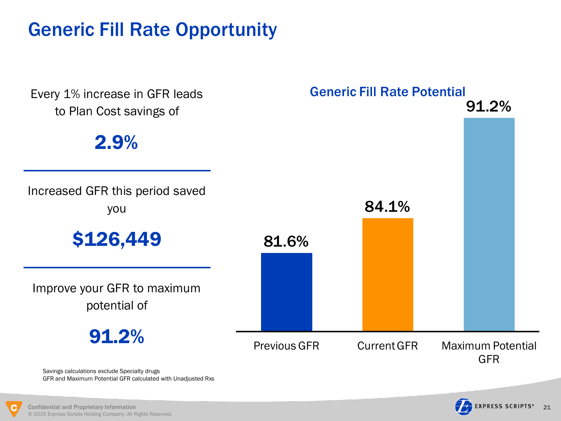# Generic Fill Rate Opportunity



GFR and Maximum Potential GFR calculated with Unadjusted Rxs



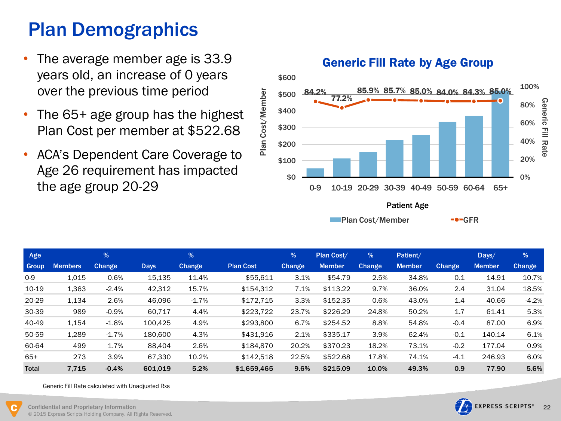# Plan Demographics

- The average member age is 33.9 years old, an increase of 0 years over the previous time period
- The 65+ age group has the highest Plan Cost per member at \$522.68
- ACA's Dependent Care Coverage to Age 26 requirement has impacted the age group 20-29



Patient Age

Plan Cost/Member GPGFR

| Age          |                | $\frac{9}{6}$ |             | %       |                  | $\frac{9}{6}$ | Plan Cost/    | %             | Patient/      |               | Days/         | %       |
|--------------|----------------|---------------|-------------|---------|------------------|---------------|---------------|---------------|---------------|---------------|---------------|---------|
| Group        | <b>Members</b> | <b>Change</b> | <b>Days</b> | Change  | <b>Plan Cost</b> | <b>Change</b> | <b>Member</b> | <b>Change</b> | <b>Member</b> | <b>Change</b> | <b>Member</b> | Change  |
| $0 - 9$      | 1,015          | 0.6%          | 15,135      | 11.4%   | \$55,611         | 3.1%          | \$54.79       | 2.5%          | 34.8%         | 0.1           | 14.91         | 10.7%   |
| 10-19        | 1,363          | $-2.4%$       | 42,312      | 15.7%   | \$154,312        | 7.1%          | \$113.22      | 9.7%          | 36.0%         | 2.4           | 31.04         | 18.5%   |
| 20-29        | 1,134          | 2.6%          | 46,096      | $-1.7%$ | \$172.715        | 3.3%          | \$152.35      | 0.6%          | 43.0%         | 1.4           | 40.66         | $-4.2%$ |
| 30-39        | 989            | $-0.9%$       | 60,717      | 4.4%    | \$223,722        | 23.7%         | \$226.29      | 24.8%         | 50.2%         | 1.7           | 61.41         | 5.3%    |
| 40-49        | 1,154          | $-1.8%$       | 100.425     | 4.9%    | \$293,800        | 6.7%          | \$254.52      | 8.8%          | 54.8%         | $-0.4$        | 87.00         | 6.9%    |
| 50-59        | 1,289          | $-1.7%$       | 180,600     | 4.3%    | \$431.916        | 2.1%          | \$335.17      | 3.9%          | 62.4%         | $-0.1$        | 140.14        | 6.1%    |
| 60-64        | 499            | 1.7%          | 88,404      | 2.6%    | \$184.870        | 20.2%         | \$370.23      | 18.2%         | 73.1%         | $-0.2$        | 177.04        | 0.9%    |
| $65+$        | 273            | 3.9%          | 67,330      | 10.2%   | \$142.518        | 22.5%         | \$522.68      | 17.8%         | 74.1%         | $-4.1$        | 246.93        | 6.0%    |
| <b>Total</b> | 7.715          | $-0.4%$       | 601.019     | 5.2%    | \$1.659.465      | 9.6%          | \$215.09      | 10.0%         | 49.3%         | 0.9           | 77.90         | 5.6%    |

Generic Fill Rate calculated with Unadjusted Rxs

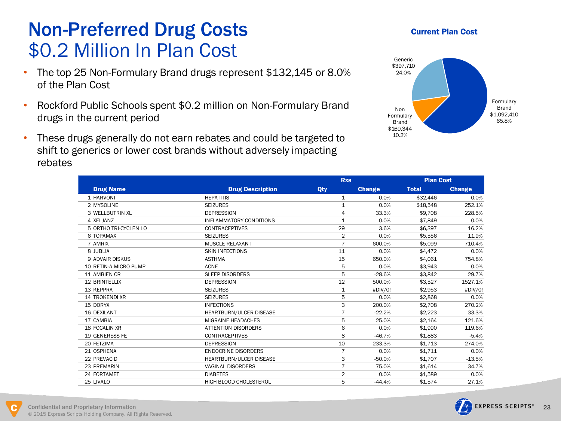## Non-Preferred Drug Costs \$0.2 Million In Plan Cost

- The top 25 Non-Formulary Brand drugs represent \$132,145 or 8.0% of the Plan Cost
- Rockford Public Schools spent \$0.2 million on Non-Formulary Brand drugs in the current period
- These drugs generally do not earn rebates and could be targeted to shift to generics or lower cost brands without adversely impacting rebates

### Current Plan Cost



|                        |                                | <b>Rxs</b>     |          | <b>Plan Cost</b> |               |
|------------------------|--------------------------------|----------------|----------|------------------|---------------|
| <b>Drug Name</b>       | <b>Drug Description</b>        | Qty            | Change   | <b>Total</b>     | <b>Change</b> |
| 1 HARVONI              | <b>HEPATITIS</b>               | $\mathbf{1}$   | 0.0%     | \$32,446         | 0.0%          |
| 2 MYSOLINE             | <b>SEIZURES</b>                | 1              | 0.0%     | \$18,548         | 252.1%        |
| 3 WELLBUTRIN XL        | <b>DEPRESSION</b>              | 4              | 33.3%    | \$9,708          | 228.5%        |
| 4 XELJANZ              | <b>INFLAMMATORY CONDITIONS</b> | 1              | 0.0%     | \$7,849          | 0.0%          |
| 5 ORTHO TRI-CYCLEN LO  | <b>CONTRACEPTIVES</b>          | 29             | 3.6%     | \$6,397          | 16.2%         |
| 6 TOPAMAX              | <b>SEIZURES</b>                | $\overline{2}$ | 0.0%     | \$5,556          | 11.9%         |
| 7 AMRIX                | <b>MUSCLE RELAXANT</b>         | $\overline{7}$ | 600.0%   | \$5,099          | 710.4%        |
| 8 JUBLIA               | <b>SKIN INFECTIONS</b>         | 11             | 0.0%     | \$4,472          | 0.0%          |
| <b>9 ADVAIR DISKUS</b> | <b>ASTHMA</b>                  | 15             | 650.0%   | \$4,061          | 754.8%        |
| 10 RETIN-A MICRO PUMP  | <b>ACNE</b>                    | 5              | 0.0%     | \$3,943          | 0.0%          |
| 11 AMBIEN CR           | <b>SLEEP DISORDERS</b>         | 5              | $-28.6%$ | \$3,842          | 29.7%         |
| <b>12 BRINTELLIX</b>   | <b>DEPRESSION</b>              | 12             | 500.0%   | \$3,527          | 1527.1%       |
| 13 KEPPRA              | <b>SEIZURES</b>                | $\mathbf{1}$   | #DIV/0!  | \$2,953          | #DIV/0!       |
| 14 TROKENDI XR         | <b>SEIZURES</b>                | 5              | 0.0%     | \$2,868          | 0.0%          |
| 15 DORYX               | <b>INFECTIONS</b>              | 3              | 200.0%   | \$2,708          | 270.2%        |
| <b>16 DEXILANT</b>     | HEARTBURN/ULCER DISEASE        | $\overline{7}$ | $-22.2%$ | \$2,223          | 33.3%         |
| 17 CAMBIA              | MIGRAINE HEADACHES             | 5              | 25.0%    | \$2,164          | 121.6%        |
| 18 FOCALIN XR          | <b>ATTENTION DISORDERS</b>     | 6              | 0.0%     | \$1,990          | 119.6%        |
| <b>19 GENERESS FE</b>  | <b>CONTRACEPTIVES</b>          | 8              | $-46.7%$ | \$1,883          | $-5.4%$       |
| 20 FETZIMA             | <b>DEPRESSION</b>              | 10             | 233.3%   | \$1.713          | 274.0%        |
| 21 OSPHENA             | <b>ENDOCRINE DISORDERS</b>     | $\overline{7}$ | 0.0%     | \$1,711          | 0.0%          |
| 22 PREVACID            | HEARTBURN/ULCER DISEASE        | 3              | $-50.0%$ | \$1,707          | $-13.5%$      |
| 23 PREMARIN            | <b>VAGINAL DISORDERS</b>       | $\overline{7}$ | 75.0%    | \$1,614          | 34.7%         |
| 24 FORTAMET            | <b>DIABETES</b>                | $\overline{2}$ | 0.0%     | \$1,589          | 0.0%          |
| 25 LIVALO              | HIGH BLOOD CHOLESTEROL         | 5              | $-44.4%$ | \$1.574          | 27.1%         |



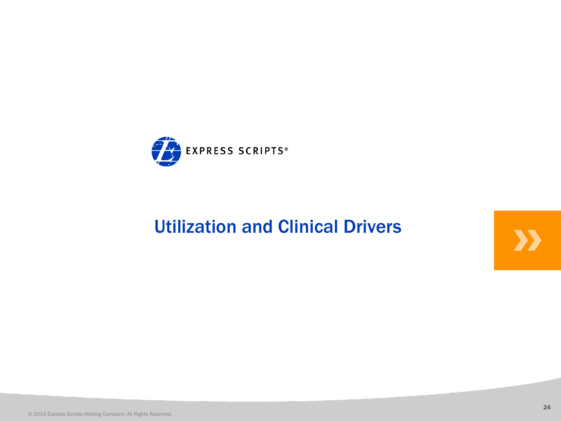

# Utilization and Clinical Drivers<br>Express Scripts Holding Company, All Rights Reserved.<br>2014 Express Scripts Holding Company, All Rights Reserved.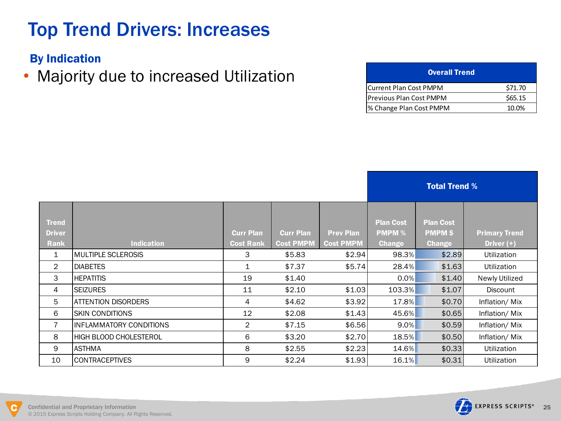# Top Trend Drivers: Increases

By Indication

• Majority due to increased Utilization

| <b>Overall Trend</b>            |         |
|---------------------------------|---------|
| <b>Current Plan Cost PMPM</b>   | \$71.70 |
| <b>IPrevious Plan Cost PMPM</b> | \$65.15 |
| % Change Plan Cost PMPM         | 10.0%   |

|                                       |                                |                                      |                                      |                                      |                                                    | <b>Total Trend %</b>                              |                                      |
|---------------------------------------|--------------------------------|--------------------------------------|--------------------------------------|--------------------------------------|----------------------------------------------------|---------------------------------------------------|--------------------------------------|
| <b>Trend</b><br><b>Driver</b><br>Rank | <b>Indication</b>              | <b>Curr Plan</b><br><b>Cost Rank</b> | <b>Curr Plan</b><br><b>Cost PMPM</b> | <b>Prev Plan</b><br><b>Cost PMPM</b> | <b>Plan Cost</b><br><b>PMPM %</b><br><b>Change</b> | <b>Plan Cost</b><br><b>PMPMS</b><br><b>Change</b> | <b>Primary Trend</b><br>Driver $(+)$ |
| 1                                     | <b>MULTIPLE SCLEROSIS</b>      | 3                                    | \$5.83                               | \$2.94                               | 98.3%                                              | \$2.89                                            | Utilization                          |
| $\overline{2}$                        | <b>DIABETES</b>                | $\mathbf 1$                          | \$7.37                               | \$5.74                               | 28.4%                                              | \$1.63                                            | Utilization                          |
| 3                                     | <b>HEPATITIS</b>               | 19                                   | \$1.40                               |                                      | 0.0%                                               | \$1.40                                            | Newly Utilized                       |
| 4                                     | <b>SEIZURES</b>                | 11                                   | \$2.10                               | \$1.03                               | 103.3%                                             | \$1.07                                            | Discount                             |
| 5                                     | <b>ATTENTION DISORDERS</b>     | 4                                    | \$4.62                               | \$3.92                               | 17.8%                                              | \$0.70                                            | Inflation/Mix                        |
| 6                                     | <b>SKIN CONDITIONS</b>         | 12                                   | \$2.08                               | \$1.43                               | 45.6%                                              | \$0.65                                            | Inflation/Mix                        |
| $\overline{7}$                        | <b>INFLAMMATORY CONDITIONS</b> | $\overline{2}$                       | \$7.15                               | \$6.56                               | $9.0\%$                                            | \$0.59                                            | Inflation/Mix                        |
| 8                                     | <b>HIGH BLOOD CHOLESTEROL</b>  | 6                                    | \$3.20                               | \$2.70                               | 18.5%                                              | \$0.50                                            | Inflation/Mix                        |
| 9                                     | <b>ASTHMA</b>                  | 8                                    | \$2.55                               | \$2.23                               | 14.6%                                              | \$0.33                                            | Utilization                          |
| 10                                    | <b>CONTRACEPTIVES</b>          | 9                                    | \$2.24                               | \$1.93                               | 16.1%                                              | \$0.31                                            | Utilization                          |
|                                       |                                |                                      |                                      |                                      |                                                    |                                                   |                                      |

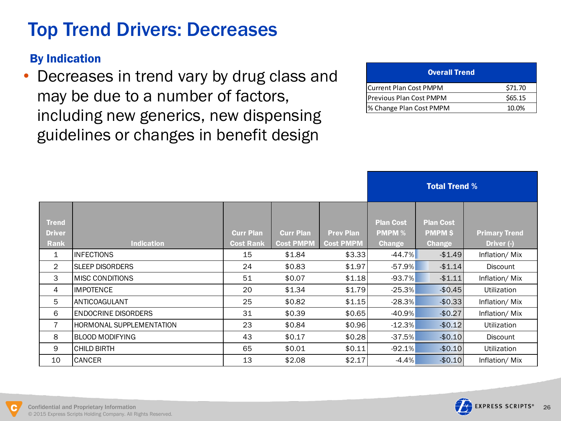# Top Trend Drivers: Decreases

### By Indication

• Decreases in trend vary by drug class and may be due to a number of factors, including new generics, new dispensing guidelines or changes in benefit design

| <b>Overall Trend</b>           |         |
|--------------------------------|---------|
| <b>Current Plan Cost PMPM</b>  | \$71.70 |
| <b>Previous Plan Cost PMPM</b> | \$65.15 |
| % Change Plan Cost PMPM        | 10.0%   |

|                                       |                                 |                                      |                                      |                                      |                                                    | <b>Total Trend %</b>                              |                                    |
|---------------------------------------|---------------------------------|--------------------------------------|--------------------------------------|--------------------------------------|----------------------------------------------------|---------------------------------------------------|------------------------------------|
| <b>Trend</b><br><b>Driver</b><br>Rank | <b>Indication</b>               | <b>Curr Plan</b><br><b>Cost Rank</b> | <b>Curr Plan</b><br><b>Cost PMPM</b> | <b>Prev Plan</b><br><b>Cost PMPM</b> | <b>Plan Cost</b><br><b>PMPM %</b><br><b>Change</b> | <b>Plan Cost</b><br><b>PMPMS</b><br><b>Change</b> | <b>Primary Trend</b><br>Driver (-) |
| $\mathbf{1}$                          | <b>INFECTIONS</b>               | 15                                   | \$1.84                               | \$3.33                               | $-44.7\%$                                          | $-$1.49$                                          | Inflation/Mix                      |
| $\overline{2}$                        | <b>SLEEP DISORDERS</b>          | 24                                   | \$0.83                               | \$1.97                               | $-57.9%$                                           | $-$1.14$                                          | Discount                           |
| 3                                     | <b>IMISC CONDITIONS</b>         | 51                                   | \$0.07                               | \$1.18                               | $-93.7%$                                           | $-$1.11$                                          | Inflation/Mix                      |
| $\overline{4}$                        | <b>IMPOTENCE</b>                | 20                                   | \$1.34                               | \$1.79                               | $-25.3%$                                           | $-$0.45$                                          | <b>Utilization</b>                 |
| 5                                     | ANTICOAGULANT                   | 25                                   | \$0.82                               | \$1.15                               | $-28.3%$                                           | $-$0.33$                                          | Inflation/Mix                      |
| 6                                     | <b>ENDOCRINE DISORDERS</b>      | 31                                   | \$0.39                               | \$0.65                               | $-40.9%$                                           | $-$0.27$                                          | Inflation/Mix                      |
| $\overline{7}$                        | <b>HORMONAL SUPPLEMENTATION</b> | 23                                   | \$0.84                               | \$0.96                               | $-12.3%$                                           | $-$0.12$                                          | Utilization                        |
| 8                                     | <b>BLOOD MODIFYING</b>          | 43                                   | \$0.17                               | \$0.28                               | $-37.5%$                                           | $-$0.10$                                          | Discount                           |
| 9                                     | <b>CHILD BIRTH</b>              | 65                                   | \$0.01                               | \$0.11                               | $-92.1%$                                           | $-$0.10$                                          | Utilization                        |
| 10                                    | <b>CANCER</b>                   | 13                                   | \$2.08                               | \$2.17                               | $-4.4%$                                            | $-$0.10$                                          | Inflation/Mix                      |
|                                       |                                 |                                      |                                      |                                      |                                                    |                                                   |                                    |



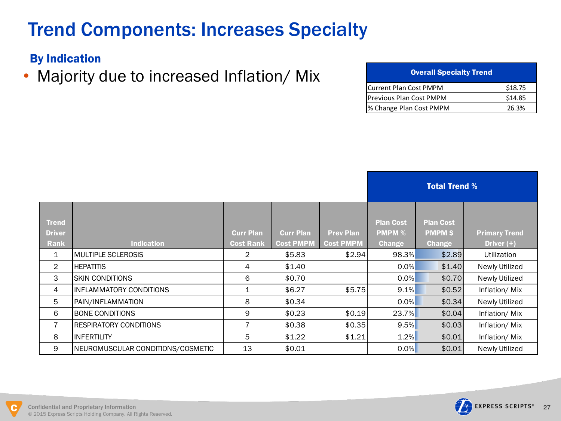# Trend Components: Increases Specialty

### By Indication

• Majority due to increased Inflation/ Mix

| <b>Overall Specialty Trend</b> |         |
|--------------------------------|---------|
| <b>Current Plan Cost PMPM</b>  | \$18.75 |
| Previous Plan Cost PMPM        | \$14.85 |
| % Change Plan Cost PMPM        | 26.3%   |

|                                       |                                   |                                      |                                      |                                      |                                                    | <b>Total Trend %</b>                                |                                      |
|---------------------------------------|-----------------------------------|--------------------------------------|--------------------------------------|--------------------------------------|----------------------------------------------------|-----------------------------------------------------|--------------------------------------|
| <b>Trend</b><br><b>Driver</b><br>Rank | <b>Indication</b>                 | <b>Curr Plan</b><br><b>Cost Rank</b> | <b>Curr Plan</b><br><b>Cost PMPM</b> | <b>Prev Plan</b><br><b>Cost PMPM</b> | <b>Plan Cost</b><br><b>PMPM %</b><br><b>Change</b> | <b>Plan Cost</b><br><b>PMPM \$</b><br><b>Change</b> | <b>Primary Trend</b><br>Driver $(+)$ |
| 1                                     | <b>IMULTIPLE SCLEROSIS</b>        | $\overline{2}$                       | \$5.83                               | \$2.94                               | 98.3%                                              | \$2.89                                              | <b>Utilization</b>                   |
| $\overline{2}$                        | <b>HEPATITIS</b>                  | 4                                    | \$1.40                               |                                      | 0.0%                                               | \$1.40                                              | Newly Utilized                       |
| 3                                     | ISKIN CONDITIONS                  | 6                                    | \$0.70                               |                                      | 0.0%                                               | \$0.70                                              | Newly Utilized                       |
| 4                                     | IINFLAMMATORY CONDITIONS          | 1                                    | \$6.27                               | \$5.75                               | 9.1%                                               | \$0.52                                              | Inflation/Mix                        |
| 5                                     | PAIN/INFLAMMATION                 | 8                                    | \$0.34                               |                                      | 0.0%                                               | \$0.34                                              | Newly Utilized                       |
| 6                                     | <b>BONE CONDITIONS</b>            | 9                                    | \$0.23                               | \$0.19                               | 23.7%                                              | \$0.04                                              | Inflation/Mix                        |
| 7                                     | <b>IRESPIRATORY CONDITIONS</b>    | 7                                    | \$0.38                               | \$0.35                               | 9.5%                                               | \$0.03                                              | Inflation/Mix                        |
| 8                                     | <b>INFERTILITY</b>                | 5                                    | \$1.22                               | \$1.21                               | 1.2%                                               | \$0.01                                              | Inflation/Mix                        |
| 9                                     | NEUROMUSCULAR CONDITIONS/COSMETIC | 13                                   | \$0.01                               |                                      | $0.0\%$                                            | \$0.01                                              | Newly Utilized                       |
|                                       |                                   |                                      |                                      |                                      |                                                    |                                                     |                                      |

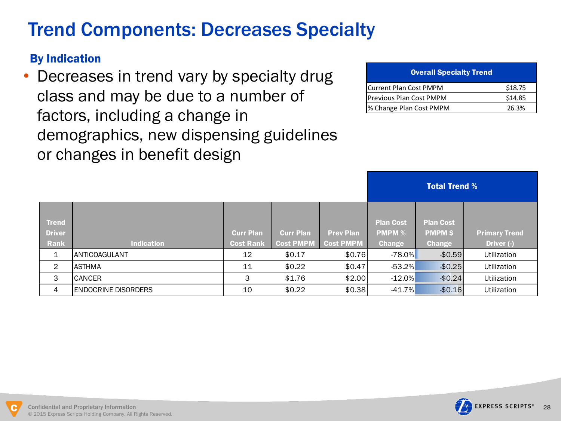# Trend Components: Decreases Specialty

### By Indication

• Decreases in trend vary by specialty drug class and may be due to a number of factors, including a change in demographics, new dispensing guidelines or changes in benefit design

| <b>Overall Specialty Trend</b> |         |
|--------------------------------|---------|
| Current Plan Cost PMPM         | \$18.75 |
| <b>Previous Plan Cost PMPM</b> | \$14.85 |
| % Change Plan Cost PMPM        | 26.3%   |

|                |                            |                  |                  |                  | <b>Total Trend %</b> |                  |                      |
|----------------|----------------------------|------------------|------------------|------------------|----------------------|------------------|----------------------|
|                |                            |                  |                  |                  |                      |                  |                      |
| <b>Trend</b>   |                            |                  |                  |                  | <b>Plan Cost</b>     | <b>Plan Cost</b> |                      |
| <b>Driver</b>  |                            | <b>Curr Plan</b> | <b>Curr Plan</b> | <b>Prev Plan</b> | <b>PMPM %</b>        | <b>PMPM \$</b>   | <b>Primary Trend</b> |
| <b>Rank</b>    | <b>Indication</b>          | <b>Cost Rank</b> | <b>Cost PMPM</b> | <b>Cost PMPM</b> | <b>Change</b>        | <b>Change</b>    | Driver (-)           |
| 1              | <b>ANTICOAGULANT</b>       | 12               | \$0.17           | \$0.76           | $-78.0\%$            | $-$0.59$         | Utilization          |
| $\overline{2}$ | <b>ASTHMA</b>              | 11               | \$0.22           | \$0.47           | $-53.2%$             | $-$0.25$         | <b>Utilization</b>   |
| 3              | <b>CANCER</b>              | 3                | \$1.76           | \$2.00           | $-12.0%$             | $-$0.24$         | Utilization          |
| 4              | <b>ENDOCRINE DISORDERS</b> | 10               | \$0.22           | \$0.38           | $-41.7%$             | $-$0.16$         | <b>Utilization</b>   |
|                |                            |                  |                  |                  |                      |                  |                      |

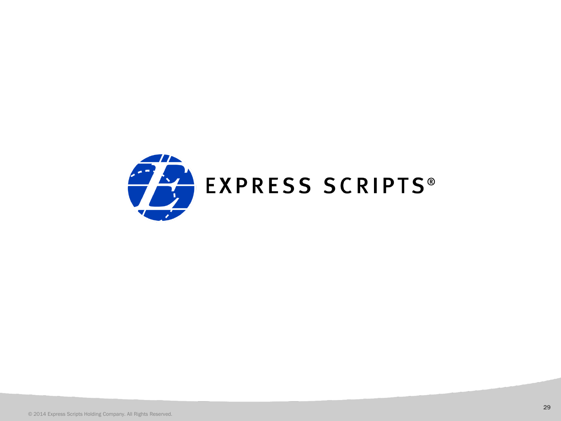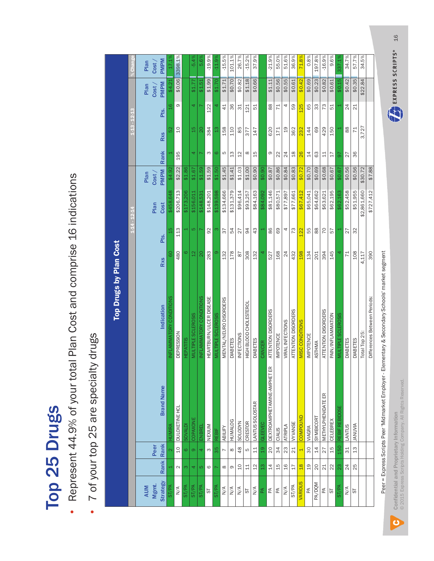# Top 25 Drugs Top 25 Drugs

- Represent 44.9% of your total Plan Cost and comprise 16 indications Represent 44.9% of your total Plan Cost and comprise 16 indications
- 7 of your top 25 are specialty drugs 7 of your top 25 are specialty drugs

|                                                                         |                         |                         |                             | Top Drugs by Plan Cost       |                |             |             |             |                |                 |                |             |                 |
|-------------------------------------------------------------------------|-------------------------|-------------------------|-----------------------------|------------------------------|----------------|-------------|-------------|-------------|----------------|-----------------|----------------|-------------|-----------------|
|                                                                         |                         |                         |                             |                              |                | $1 - 4 - 1$ |             |             |                | $1-13-12-13$    |                |             | % Chang         |
| <b>AUM</b>                                                              |                         |                         |                             |                              |                |             |             | Plan        |                |                 |                | Plan        | Plan            |
| Mgmt.                                                                   |                         | Peer                    |                             |                              |                |             | Plan        | Cost        |                |                 |                | Cost        | Cost            |
| <b>Strategy</b>                                                         | Rank                    | Rank                    | <b>Brand Name</b>           | Indication                   | <b>Rxs</b>     | Pts.        | Cost        | <b>PMPM</b> | Rank           | <b>Rxs</b>      | Pts.           | <b>PMPM</b> | <b>PMPM</b>     |
| ST/PA                                                                   |                         |                         | HUMIRA                      | NFLAMMATORY CONDITIONS       | $\overline{6}$ | 45          | \$458,648   | \$4.92      |                |                 | $\frac{1}{6}$  | \$4.21      | 17.1            |
| $\frac{4}{\sqrt{2}}$                                                    | $\sim$                  | $\overline{c}$          | DULOXETINE HCL              | <b>DEPRESSION</b>            | 480            | 113         | \$206,713   | \$2.22      | 195            | $\overline{c}$  | $\infty$       | \$0.06      | 3398.1%         |
| ST/PA                                                                   | $\infty$                | $\circ$                 | <b>SOVALD</b>               | <b>HEPATITIS</b>             | ဖ              |             | \$173,206   | \$1.86      |                |                 |                |             |                 |
| ST/PA                                                                   | 4                       | $\infty$                | COPAXONE                    | <b>MULTIPLE SCLEROSIS</b>    | $\frac{2}{1}$  | ĽΩ,         | \$156,011   | \$1.67      | 4              | $\frac{15}{1}$  | 4              | \$1.77      | $-5.4$          |
| ST/PA                                                                   | LO.                     | 4                       | ENBREI                      | INFLAMMATORY CONDITIONS      | $\overline{0}$ |             | \$148,531   | \$1.59      |                | $\overline{20}$ |                | \$1.51      | 5.6             |
| 57                                                                      | $\mathsf{\circledcirc}$ | S                       | NEXIUM                      | HEARTBURN/ULCER DISEASE      | 283            | 92          | \$148,201   | \$1.59      | $\omega$       | 384             | 122            | \$1.99      | $-19.9%$        |
| ST/PA                                                                   |                         | 35                      | REBIF                       | MULTIPLE SCLEROSIS           | $\circ$        | ო           | \$139,598   | \$1.50      | $\circ$        | $\frac{3}{2}$   | 4              | \$1.70      | $-11.9^{\circ}$ |
| $\sum_{i=1}^{n}$                                                        | $\infty$                | $\overline{ }$          | ABILIFY                     | MENTAL/NEURO DISORDERS       | 132            | 57          | \$134,666   | \$1.45      | LO             | 158             | $\overline{4}$ | \$1.71      | $-15.5%$        |
| N/A                                                                     | თ                       | $\infty$                | <b>HUMALOG</b>              | <b>DIABETES</b>              | 178            | 54          | \$131,379   | \$1.41      | 13             | 110             | 36             | \$0.70      | 101.1%          |
| $\frac{4}{2}$                                                           | $\Omega$                | 48                      | SOLODYN                     | <b>INFECTIONS</b>            | 78             | 27          | \$96,414    | \$1.03      | 12             | 85              | $\frac{1}{3}$  | \$0.82      | 26.7%           |
| 5                                                                       | $\overline{11}$         | ъ                       | CRESTOR                     | HIGH BLOOD CHOLESTEROL       | 308            | 94          | \$93,257    | \$1.00      | $\infty$       | 377             | 121            | \$1.18      | $-15.2%$        |
| $\sum_{N}$                                                              | $\overline{2}$          | 11                      | LANTUS SOLOSTAR             | <b>DIABETES</b>              | 132            | 43          | \$84,163    | \$0.90      | 15             | 147             | 51             | \$0.66      | 37.9%           |
| 岙                                                                       | $\frac{3}{2}$           | $\frac{9}{10}$          | <b>GLEEVEC</b>              | CANCER                       |                |             | \$84,092    | \$0.90      |                |                 |                |             |                 |
| E                                                                       | $\overline{4}$          | $\overline{c}$          | DEXTROAMPHETAMINE-AMPHET ER | ATTENTION DISORDERS          | 527            | 86          | \$81,146    | \$0.87      | $\infty$       | 620             | 88             | \$1.11      | $-21.9%$        |
| $\mathbb{E}% _{A}^{\ast }=\mathbb{E}_{A}\left[ \mathbb{E}_{A}\right] ,$ | $\frac{5}{1}$           | 34                      | CIALIS                      | IMPOTENCE                    | 168            | 89          | \$80,571    | \$0.86      | 22             | 171             | 71             | \$0.56      | 55.0%           |
| $\frac{4}{\sqrt{2}}$                                                    | $\frac{6}{1}$           | 23                      | ATRIPLA                     | VIRAL INFECTIONS             | 24             | 4           | \$77,897    | \$0.84      | 24             | $\frac{0}{1}$   | 4              | \$0.55      | 51.6%           |
| ST/PA                                                                   | 17                      | 21                      | <b>VYVANSE</b>              | ATTENTION DISORDERS          | 432            | 73          | \$77,661    | \$0.83      | $\frac{8}{10}$ | 362             | 59             | \$0.61      | 36.9%           |
| VARIOUS                                                                 | $\frac{8}{18}$          | $\overline{\mathbf{t}}$ | COMPOUND                    | MISC CONDITIONS              | 198            | 122         | \$67,412    | \$0.72      | 26             | 232             | 125            | \$0.42      | 71.8%           |
| Æ                                                                       | $\overline{c}$          | 30                      | <b>VIAGRA</b>               | <b>IMPOTENCE</b>             | 134            | 55          | \$65,041    | \$0.70      | 14             | 144             | 65             | \$0.69      | 0.8%            |
| <b>MOQ/Ad</b>                                                           | 20                      | 14                      | SYMBICORT                   | <b>ASTHMA</b>                | 201            | 88          | \$64,662    | \$0.69      | 63             | 69              | 33             | \$0.23      | 197.8%          |
| Æ                                                                       | 21                      | 27                      | METHYLPHENIDATE ER          | ATTENTION DISORDERS          | 394            | 70          | \$63,621    | \$0.68      | 11             | 429             | 73             | \$0.82      | $-16.9%$        |
| 5                                                                       | $\approx$               | 15                      | CELEBREX                    | PAIN/INFLAMMATION            | 145            | 57          | \$62,195    | \$0.67      | 17             | 150             | 51             | \$0.61      | 9.6%            |
| ST/PA                                                                   | 23                      | <b>150</b>              | REBIF REBIDOSI              | MULTIPLE SCLEROSIS           | 4              |             | \$62,163    | \$0.67      | $\overline{6}$ |                 |                | \$0.15      | 337.1           |
| $\frac{1}{N}$                                                           | 24                      | 31                      | <b>LANTUS</b>               | <b>DIABETES</b>              | 71             | 77          | \$52,458    | \$0.56      | 27             | $88$            | 24             | \$0.42      | 34.7%           |
| 55                                                                      | 25                      | 13                      | <b>ANUVIA</b>               | <b>DIABETES</b>              | 108            | 32          | \$51,955    | \$0.56      | 36             | $\overline{71}$ | $\frac{1}{2}$  | \$0.35      | 57.7%           |
|                                                                         |                         |                         |                             | Total Top 25:                | 4,117          |             | \$2,861,660 | \$30.72     |                | 3,727           |                | \$22.84     | 34.5%           |
|                                                                         |                         |                         |                             | Differences Between Periods: | 390            |             | \$727,412   | \$7.88      |                |                 |                |             |                 |
|                                                                         |                         |                         |                             |                              |                |             |             |             |                |                 |                |             |                 |

Peer = Express Scripts Peer 'Midmarket Employer - Elementary & Secondary Schools' market segment Peer = Express Scripts Peer 'Midmarket Employer - Elementary & Secondary Schools' market segment